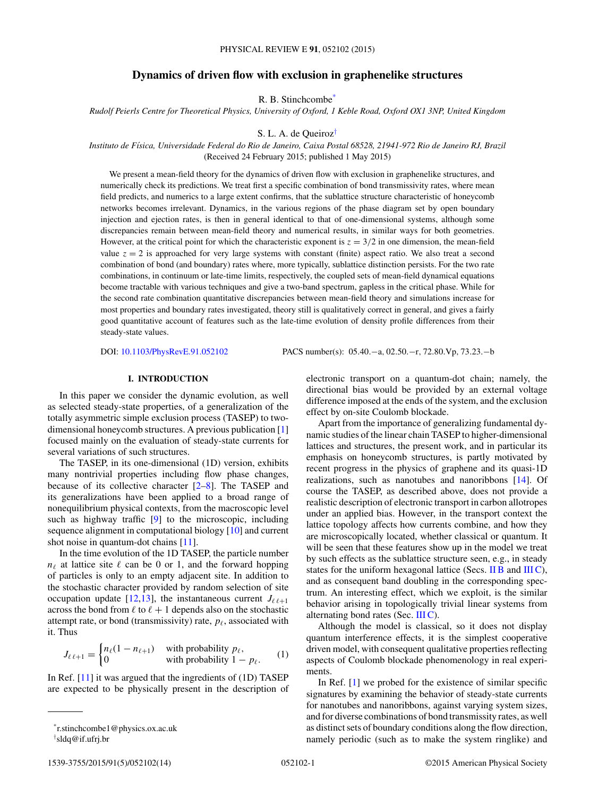## **Dynamics of driven flow with exclusion in graphenelike structures**

R. B. Stinchcombe\*

*Rudolf Peierls Centre for Theoretical Physics, University of Oxford, 1 Keble Road, Oxford OX1 3NP, United Kingdom*

S. L. A. de Queiroz†

*Instituto de F´ısica, Universidade Federal do Rio de Janeiro, Caixa Postal 68528, 21941-972 Rio de Janeiro RJ, Brazil* (Received 24 February 2015; published 1 May 2015)

We present a mean-field theory for the dynamics of driven flow with exclusion in graphenelike structures, and numerically check its predictions. We treat first a specific combination of bond transmissivity rates, where mean field predicts, and numerics to a large extent confirms, that the sublattice structure characteristic of honeycomb networks becomes irrelevant. Dynamics, in the various regions of the phase diagram set by open boundary injection and ejection rates, is then in general identical to that of one-dimensional systems, although some discrepancies remain between mean-field theory and numerical results, in similar ways for both geometries. However, at the critical point for which the characteristic exponent is  $z = 3/2$  in one dimension, the mean-field value  $z = 2$  is approached for very large systems with constant (finite) aspect ratio. We also treat a second combination of bond (and boundary) rates where, more typically, sublattice distinction persists. For the two rate combinations, in continuum or late-time limits, respectively, the coupled sets of mean-field dynamical equations become tractable with various techniques and give a two-band spectrum, gapless in the critical phase. While for the second rate combination quantitative discrepancies between mean-field theory and simulations increase for most properties and boundary rates investigated, theory still is qualitatively correct in general, and gives a fairly good quantitative account of features such as the late-time evolution of density profile differences from their steady-state values.

DOI: [10.1103/PhysRevE.91.052102](http://dx.doi.org/10.1103/PhysRevE.91.052102) PACS number(s): 05*.*40*.*−a*,* 02*.*50*.*−r*,* 72*.*80*.*Vp*,* 73*.*23*.*−b

## **I. INTRODUCTION**

In this paper we consider the dynamic evolution, as well as selected steady-state properties, of a generalization of the totally asymmetric simple exclusion process (TASEP) to twodimensional honeycomb structures. A previous publication [\[1\]](#page-13-0) focused mainly on the evaluation of steady-state currents for several variations of such structures.

The TASEP, in its one-dimensional (1D) version, exhibits many nontrivial properties including flow phase changes, because of its collective character  $[2-8]$ . The TASEP and its generalizations have been applied to a broad range of nonequilibrium physical contexts, from the macroscopic level such as highway traffic [\[9\]](#page-13-0) to the microscopic, including sequence alignment in computational biology [\[10\]](#page-13-0) and current shot noise in quantum-dot chains [\[11\]](#page-13-0).

In the time evolution of the 1D TASEP, the particle number  $n_{\ell}$  at lattice site  $\ell$  can be 0 or 1, and the forward hopping of particles is only to an empty adjacent site. In addition to the stochastic character provided by random selection of site occupation update [\[12,13\]](#page-13-0), the instantaneous current  $J_{\ell,\ell+1}$ across the bond from  $\ell$  to  $\ell + 1$  depends also on the stochastic attempt rate, or bond (transmissivity) rate,  $p_{\ell}$ , associated with it. Thus

$$
J_{\ell\ell+1} = \begin{cases} n_{\ell}(1 - n_{\ell+1}) & \text{with probability } p_{\ell}, \\ 0 & \text{with probability } 1 - p_{\ell}. \end{cases} \tag{1}
$$

In Ref.  $[11]$  it was argued that the ingredients of  $(1D)$  TASEP are expected to be physically present in the description of electronic transport on a quantum-dot chain; namely, the directional bias would be provided by an external voltage difference imposed at the ends of the system, and the exclusion effect by on-site Coulomb blockade.

Apart from the importance of generalizing fundamental dynamic studies of the linear chain TASEP to higher-dimensional lattices and structures, the present work, and in particular its emphasis on honeycomb structures, is partly motivated by recent progress in the physics of graphene and its quasi-1D realizations, such as nanotubes and nanoribbons [\[14\]](#page-13-0). Of course the TASEP, as described above, does not provide a realistic description of electronic transport in carbon allotropes under an applied bias. However, in the transport context the lattice topology affects how currents combine, and how they are microscopically located, whether classical or quantum. It will be seen that these features show up in the model we treat by such effects as the sublattice structure seen, e.g., in steady states for the uniform hexagonal lattice (Secs.  $\overline{I}$  IB and  $\overline{I}$ II C), and as consequent band doubling in the corresponding spectrum. An interesting effect, which we exploit, is the similar behavior arising in topologically trivial linear systems from alternating bond rates (Sec. [III C\)](#page-9-0).

Although the model is classical, so it does not display quantum interference effects, it is the simplest cooperative driven model, with consequent qualitative properties reflecting aspects of Coulomb blockade phenomenology in real experiments.

In Ref. [\[1\]](#page-13-0) we probed for the existence of similar specific signatures by examining the behavior of steady-state currents for nanotubes and nanoribbons, against varying system sizes, and for diverse combinations of bond transmissity rates, as well as distinct sets of boundary conditions along the flow direction, namely periodic (such as to make the system ringlike) and

<sup>\*</sup>r.stinchcombe1@physics.ox.ac.uk

<sup>†</sup> sldq@if.ufrj.br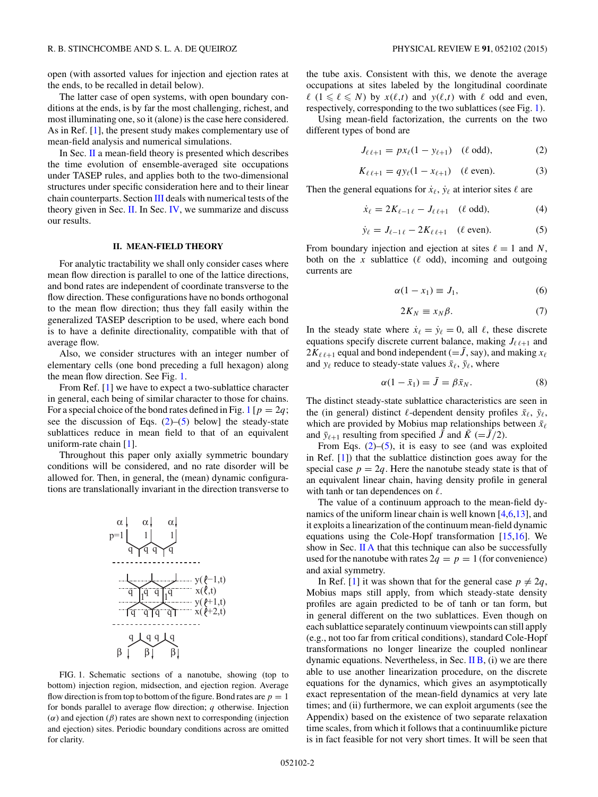<span id="page-1-0"></span>open (with assorted values for injection and ejection rates at the ends, to be recalled in detail below).

The latter case of open systems, with open boundary conditions at the ends, is by far the most challenging, richest, and most illuminating one, so it (alone) is the case here considered. As in Ref. [\[1\]](#page-13-0), the present study makes complementary use of mean-field analysis and numerical simulations.

In Sec. II a mean-field theory is presented which describes the time evolution of ensemble-averaged site occupations under TASEP rules, and applies both to the two-dimensional structures under specific consideration here and to their linear chain counterparts. Section [III](#page-5-0) deals with numerical tests of the theory given in Sec. II. In Sec. [IV,](#page-11-0) we summarize and discuss our results.

#### **II. MEAN-FIELD THEORY**

For analytic tractability we shall only consider cases where mean flow direction is parallel to one of the lattice directions, and bond rates are independent of coordinate transverse to the flow direction. These configurations have no bonds orthogonal to the mean flow direction; thus they fall easily within the generalized TASEP description to be used, where each bond is to have a definite directionality, compatible with that of average flow.

Also, we consider structures with an integer number of elementary cells (one bond preceding a full hexagon) along the mean flow direction. See Fig. 1.

From Ref. [\[1\]](#page-13-0) we have to expect a two-sublattice character in general, each being of similar character to those for chains. For a special choice of the bond rates defined in Fig. 1 [ $p = 2q$ ; see the discussion of Eqs.  $(2)$ – $(5)$  below] the steady-state sublattices reduce in mean field to that of an equivalent uniform-rate chain [\[1\]](#page-13-0).

Throughout this paper only axially symmetric boundary conditions will be considered, and no rate disorder will be allowed for. Then, in general, the (mean) dynamic configurations are translationally invariant in the direction transverse to

$$
\alpha | \alpha | \alpha |
$$
\n
$$
p=1
$$
\n
$$
q \overline{q} \overline{q} \overline{q} \overline{q}
$$
\n
$$
y(\ell-1,t)
$$
\n
$$
\overline{q} \overline{q} \overline{q} \overline{q} \overline{q} \overline{q}
$$
\n
$$
y(\ell-1,t)
$$
\n
$$
q \overline{q} \overline{q} \overline{q} \overline{q} \overline{q} \overline{q}
$$
\n
$$
y(\ell+1,t)
$$
\n
$$
q \overline{q} \overline{q} \overline{q} \overline{q} \overline{q}
$$
\n
$$
\overline{q} \overline{q} \overline{q} \overline{q} \overline{q}
$$
\n
$$
\overline{q} \overline{q} \overline{q} \overline{q} \overline{q}
$$

FIG. 1. Schematic sections of a nanotube, showing (top to bottom) injection region, midsection, and ejection region. Average flow direction is from top to bottom of the figure. Bond rates are  $p = 1$ for bonds parallel to average flow direction; *q* otherwise. Injection (*α*) and ejection (*β*) rates are shown next to corresponding (injection and ejection) sites. Periodic boundary conditions across are omitted for clarity.

the tube axis. Consistent with this, we denote the average occupations at sites labeled by the longitudinal coordinate  $\ell$  ( $1 \leq \ell \leq N$ ) by  $x(\ell,t)$  and  $y(\ell,t)$  with  $\ell$  odd and even, respectively, corresponding to the two sublattices (see Fig. 1).

Using mean-field factorization, the currents on the two different types of bond are

$$
J_{\ell \ell+1} = px_{\ell}(1 - y_{\ell+1}) \quad (\ell \text{ odd}), \tag{2}
$$

$$
K_{\ell \ell+1} = q y_{\ell} (1 - x_{\ell+1}) \quad (\ell \text{ even}). \tag{3}
$$

Then the general equations for  $\dot{x}_{\ell}$ ,  $\dot{y}_{\ell}$  at interior sites  $\ell$  are

$$
\dot{x}_{\ell} = 2K_{\ell-1\,\ell} - J_{\ell\,\ell+1} \quad (\ell \text{ odd}),\tag{4}
$$

$$
\dot{y}_{\ell} = J_{\ell-1\,\ell} - 2K_{\ell\,\ell+1} \quad (\ell \text{ even}). \tag{5}
$$

From boundary injection and ejection at sites  $\ell = 1$  and N, both on the  $x$  sublattice ( $\ell$  odd), incoming and outgoing currents are

$$
\alpha(1 - x_1) \equiv J_1,\tag{6}
$$

$$
2K_N \equiv x_N \beta. \tag{7}
$$

In the steady state where  $\dot{x}_\ell = \dot{y}_\ell = 0$ , all  $\ell$ , these discrete equations specify discrete current balance, making  $J_{\ell \ell+1}$  and  $2K_{\ell,\ell+1}$  equal and bond independent (=  $\bar{J}$ , say), and making  $x_{\ell}$ and  $y_{\ell}$  reduce to steady-state values  $\bar{x}_{\ell}$ ,  $\bar{y}_{\ell}$ , where

$$
\alpha(1 - \bar{x}_1) = \bar{J} = \beta \bar{x}_N. \tag{8}
$$

The distinct steady-state sublattice characteristics are seen in the (in general) distinct  $\ell$ -dependent density profiles  $\bar{x}_{\ell}$ ,  $\bar{y}_{\ell}$ , which are provided by Mobius map relationships between  $\bar{x}_\ell$ and  $\bar{y}_{\ell+1}$  resulting from specified  $\bar{J}$  and  $\bar{K}$  (= $\bar{J}/2$ ).

From Eqs.  $(2)$ –(5), it is easy to see (and was exploited in Ref. [\[1\]](#page-13-0)) that the sublattice distinction goes away for the special case  $p = 2q$ . Here the nanotube steady state is that of an equivalent linear chain, having density profile in general with tanh or tan dependences on  $\ell$ .

The value of a continuum approach to the mean-field dynamics of the uniform linear chain is well known [\[4,6,13\]](#page-13-0), and it exploits a linearization of the continuum mean-field dynamic equations using the Cole-Hopf transformation [\[15,16\]](#page-13-0). We show in Sec.  $\overline{II}$  A that this technique can also be successfully used for the nanotube with rates  $2q = p = 1$  (for convenience) and axial symmetry.

In Ref. [\[1\]](#page-13-0) it was shown that for the general case  $p \neq 2q$ , Mobius maps still apply, from which steady-state density profiles are again predicted to be of tanh or tan form, but in general different on the two sublattices. Even though on each sublattice separately continuum viewpoints can still apply (e.g., not too far from critical conditions), standard Cole-Hopf transformations no longer linearize the coupled nonlinear dynamic equations. Nevertheless, in Sec.  $\overline{I}$   $\overline{B}$ , (i) we are there able to use another linearization procedure, on the discrete equations for the dynamics, which gives an asymptotically exact representation of the mean-field dynamics at very late times; and (ii) furthermore, we can exploit arguments (see the Appendix) based on the existence of two separate relaxation time scales, from which it follows that a continuumlike picture is in fact feasible for not very short times. It will be seen that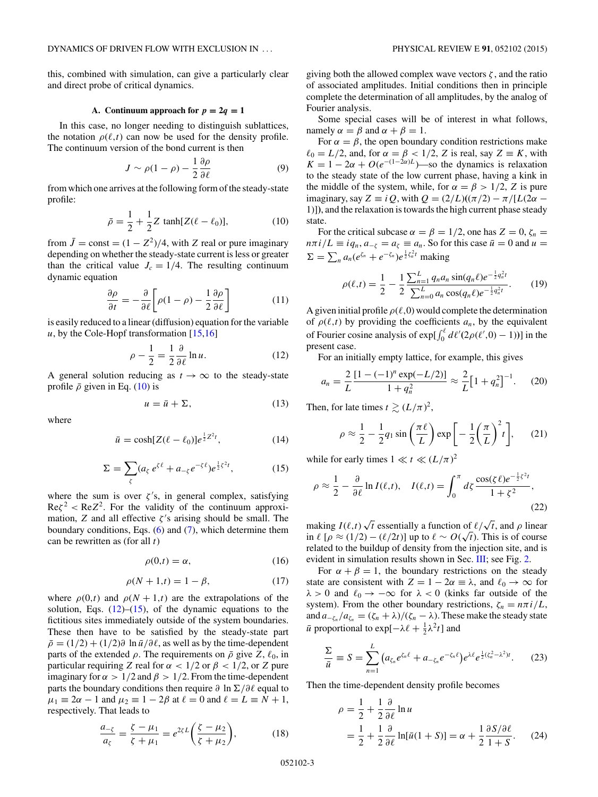<span id="page-2-0"></span>this, combined with simulation, can give a particularly clear and direct probe of critical dynamics.

#### A. Continuum approach for  $p = 2q = 1$

In this case, no longer needing to distinguish sublattices, the notation  $\rho(\ell,t)$  can now be used for the density profile. The continuum version of the bond current is then

$$
J \sim \rho(1-\rho) - \frac{1}{2} \frac{\partial \rho}{\partial \ell} \tag{9}
$$

from which one arrives at the following form of the steady-state profile:

$$
\bar{\rho} = \frac{1}{2} + \frac{1}{2}Z \tanh[Z(\ell - \ell_0)],\tag{10}
$$

from  $\bar{J} = \text{const} = (1 - Z^2)/4$ , with *Z* real or pure imaginary depending on whether the steady-state current is less or greater than the critical value  $J_c = 1/4$ . The resulting continuum dynamic equation

$$
\frac{\partial \rho}{\partial t} = -\frac{\partial}{\partial \ell} \bigg[ \rho (1 - \rho) - \frac{1}{2} \frac{\partial \rho}{\partial \ell} \bigg] \tag{11}
$$

is easily reduced to a linear (diffusion) equation for the variable *u*, by the Cole-Hopf transformation [\[15,16\]](#page-13-0)

$$
\rho - \frac{1}{2} = \frac{1}{2} \frac{\partial}{\partial \ell} \ln u. \tag{12}
$$

A general solution reducing as  $t \to \infty$  to the steady-state profile  $\bar{\rho}$  given in Eq. (10) is

$$
u = \bar{u} + \Sigma,\tag{13}
$$

where

$$
\bar{u} = \cosh[Z(\ell - \ell_0)]e^{\frac{1}{2}Z^2t},\tag{14}
$$

$$
\Sigma = \sum_{\zeta} (a_{\zeta} e^{\zeta \ell} + a_{-\zeta} e^{-\zeta \ell}) e^{\frac{1}{2}\zeta^2 t}, \qquad (15)
$$

where the sum is over  $\zeta$ 's, in general complex, satisfying  $\text{Re}\zeta^2 < \text{Re}Z^2$ . For the validity of the continuum approximation, *Z* and all effective  $\zeta$ 's arising should be small. The boundary conditions, Eqs.  $(6)$  and  $(7)$ , which determine them can be rewritten as (for all *t*)

$$
\rho(0,t) = \alpha,\tag{16}
$$

$$
\rho(N+1,t) = 1 - \beta,\tag{17}
$$

where  $\rho(0,t)$  and  $\rho(N+1,t)$  are the extrapolations of the solution, Eqs.  $(12)$ – $(15)$ , of the dynamic equations to the fictitious sites immediately outside of the system boundaries. These then have to be satisfied by the steady-state part  $\bar{\rho}$  = (1/2) + (1/2) $\partial$  ln  $\bar{u}/\partial \ell$ , as well as by the time-dependent parts of the extended  $\rho$ . The requirements on  $\bar{\rho}$  give *Z*,  $\ell_0$ , in particular requiring *Z* real for  $\alpha < 1/2$  or  $\beta < 1/2$ , or *Z* pure imaginary for  $\alpha > 1/2$  and  $\beta > 1/2$ . From the time-dependent parts the boundary conditions then require ∂ ln Σ/∂l equal to  $\mu_1 \equiv 2\alpha - 1$  and  $\mu_2 \equiv 1 - 2\beta$  at  $\ell = 0$  and  $\ell = L \equiv N + 1$ , respectively. That leads to

$$
\frac{a_{-\zeta}}{a_{\zeta}} = \frac{\zeta - \mu_1}{\zeta + \mu_1} = e^{2\zeta L} \left( \frac{\zeta - \mu_2}{\zeta + \mu_2} \right),\tag{18}
$$

giving both the allowed complex wave vectors *ζ* , and the ratio of associated amplitudes. Initial conditions then in principle complete the determination of all amplitudes, by the analog of Fourier analysis.

Some special cases will be of interest in what follows, namely  $\alpha = \beta$  and  $\alpha + \beta = 1$ .

For  $\alpha = \beta$ , the open boundary condition restrictions make  $\ell_0 = L/2$ , and, for  $\alpha = \beta < 1/2$ , *Z* is real, say  $Z \equiv K$ , with  $K = 1 - 2\alpha + O(e^{-(1-2\alpha)L})$ —so the dynamics is relaxation to the steady state of the low current phase, having a kink in the middle of the system, while, for  $\alpha = \beta > 1/2$ , *Z* is pure imaginary, say  $Z \equiv iQ$ , with  $Q = (2/L)((\pi/2) - \pi/[L(2\alpha -$ 1)]**)**, and the relaxation is towards the high current phase steady state.

For the critical subcase  $\alpha = \beta = 1/2$ , one has  $Z = 0$ ,  $\zeta_n =$  $n\pi i/L \equiv iq_n$ ,  $a_{-\zeta} = a_{\zeta} \equiv a_n$ . So for this case  $\bar{u} = 0$  and  $u =$  $\Sigma = \sum_{n} a_n (e^{\zeta_n} + e^{-\zeta_n}) e^{\frac{1}{2}\zeta_n^2 t}$  making

$$
\rho(\ell,t) = \frac{1}{2} - \frac{1}{2} \frac{\sum_{n=1}^{L} q_n a_n \sin(q_n \ell) e^{-\frac{1}{2} q_n^2 t}}{\sum_{n=0}^{L} a_n \cos(q_n \ell) e^{-\frac{1}{2} q_n^2 t}}.
$$
(19)

A given initial profile  $\rho(\ell,0)$  would complete the determination of  $\rho(\ell,t)$  by providing the coefficients  $a_n$ , by the equivalent of Fourier cosine analysis of  $exp[\int_0^{\ell} d\ell' (2\rho(\ell',0) - 1))]$  in the present case.

For an initially empty lattice, for example, this gives

$$
a_n = \frac{2}{L} \frac{[1 - (-1)^n \exp(-L/2)]}{1 + q_n^2} \approx \frac{2}{L} \left[ 1 + q_n^2 \right]^{-1}.
$$
 (20)

Then, for late times  $t \gtrsim (L/\pi)^2$ ,

$$
\rho \approx \frac{1}{2} - \frac{1}{2} q_1 \sin\left(\frac{\pi \ell}{L}\right) \exp\left[-\frac{1}{2}\left(\frac{\pi}{L}\right)^2 t\right],\qquad(21)
$$

while for early times  $1 \ll t \ll (L/\pi)^2$ 

$$
\rho \approx \frac{1}{2} - \frac{\partial}{\partial \ell} \ln I(\ell, t), \quad I(\ell, t) = \int_0^\pi d\zeta \frac{\cos(\zeta \ell) e^{-\frac{1}{2}\zeta^2 t}}{1 + \zeta^2},\tag{22}
$$

making  $I(\ell,t)\sqrt{t}$  essentially a function of  $\ell/\sqrt{t}$ , and  $\rho$  linear  $\int \ln \ell \left[ \rho \approx (1/2) - (\ell/2t) \right]$  up to  $\ell \sim O(\sqrt{t})$ . This is of course related to the buildup of density from the injection site, and is evident in simulation results shown in Sec. [III;](#page-5-0) see Fig. [2.](#page-3-0)

For  $\alpha + \beta = 1$ , the boundary restrictions on the steady state are consistent with  $Z = 1 - 2\alpha \equiv \lambda$ , and  $\ell_0 \to \infty$  for  $\lambda > 0$  and  $\ell_0 \to -\infty$  for  $\lambda < 0$  (kinks far outside of the system). From the other boundary restrictions,  $\zeta_n = n\pi i/L$ , and  $a_{-\zeta_n}/a_{\zeta_n} = (\zeta_n + \lambda)/(\zeta_n - \lambda)$ . These make the steady state  $\bar{u}$  proportional to exp[ $-\lambda \ell + \frac{1}{2}\lambda^2 t$ ] and

$$
\frac{\Sigma}{\bar{u}} \equiv S = \sum_{n=1}^{L} \left( a_{\zeta_n} e^{\zeta_n \ell} + a_{-\zeta_n} e^{-\zeta_n \ell} \right) e^{\lambda \ell} e^{\frac{1}{2} (\zeta_n^2 - \lambda^2) t}.
$$
 (23)

Then the time-dependent density profile becomes

$$
\rho = \frac{1}{2} + \frac{1}{2} \frac{\partial}{\partial \ell} \ln u
$$
  
=  $\frac{1}{2} + \frac{1}{2} \frac{\partial}{\partial \ell} \ln [\bar{u}(1+S)] = \alpha + \frac{1}{2} \frac{\partial S/\partial \ell}{1+S}.$  (24)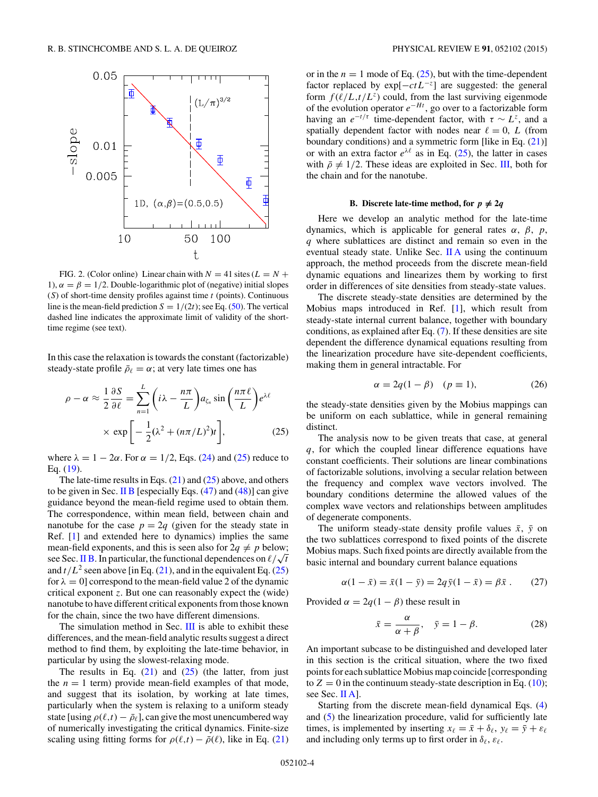<span id="page-3-0"></span>

FIG. 2. (Color online) Linear chain with  $N = 41$  sites ( $L = N +$ 1),  $\alpha = \beta = 1/2$ . Double-logarithmic plot of (negative) initial slopes (*S*) of short-time density profiles against time *t* (points). Continuous line is the mean-field prediction  $S = 1/(2t)$ ; see Eq. [\(50\)](#page-5-0). The vertical dashed line indicates the approximate limit of validity of the shorttime regime (see text).

In this case the relaxation is towards the constant (factorizable) steady-state profile  $\bar{\rho}_\ell = \alpha$ ; at very late times one has

$$
\rho - \alpha \approx \frac{1}{2} \frac{\partial S}{\partial \ell} = \sum_{n=1}^{L} \left( i\lambda - \frac{n\pi}{L} \right) a_{\zeta_n} \sin \left( \frac{n\pi \ell}{L} \right) e^{\lambda \ell}
$$

$$
\times \exp \left[ -\frac{1}{2} (\lambda^2 + (n\pi/L)^2) t \right], \tag{25}
$$

where  $\lambda = 1 - 2\alpha$ . For  $\alpha = 1/2$ , Eqs. [\(24\)](#page-2-0) and (25) reduce to Eq. [\(19\)](#page-2-0).

The late-time results in Eqs.  $(21)$  and  $(25)$  above, and others to be given in Sec. II B [especially Eqs.  $(47)$  and  $(48)$ ] can give guidance beyond the mean-field regime used to obtain them. The correspondence, within mean field, between chain and nanotube for the case  $p = 2q$  (given for the steady state in Ref. [\[1\]](#page-13-0) and extended here to dynamics) implies the same mean-field exponents, and this is seen also for  $2q \neq p$  below; mean-neta exponents, and this is seen also for  $2q \neq p$  below;<br>see Sec. II B. In particular, the functional dependences on  $\ell/\sqrt{t}$ and  $t/L^2$  seen above [in Eq. [\(21\)](#page-2-0), and in the equivalent Eq. (25) for  $\lambda = 0$  correspond to the mean-field value 2 of the dynamic critical exponent *z*. But one can reasonably expect the (wide) nanotube to have different critical exponents from those known for the chain, since the two have different dimensions.

The simulation method in Sec. [III](#page-5-0) is able to exhibit these differences, and the mean-field analytic results suggest a direct method to find them, by exploiting the late-time behavior, in particular by using the slowest-relaxing mode.

The results in Eq.  $(21)$  and  $(25)$  (the latter, from just the  $n = 1$  term) provide mean-field examples of that mode, and suggest that its isolation, by working at late times, particularly when the system is relaxing to a uniform steady state [using  $\rho(\ell,t) - \bar{\rho}_{\ell}$ ], can give the most unencumbered way of numerically investigating the critical dynamics. Finite-size scaling using fitting forms for  $\rho(\ell,t) - \bar{\rho}(\ell)$ , like in Eq. [\(21\)](#page-2-0)

or in the  $n = 1$  mode of Eq.  $(25)$ , but with the time-dependent factor replaced by exp[−*ctL*<sup>−</sup>*<sup>z</sup>*] are suggested: the general form  $f(\ell/L,t/L^z)$  could, from the last surviving eigenmode of the evolution operator *e*<sup>−</sup>*Ht* , go over to a factorizable form having an  $e^{-t/\tau}$  time-dependent factor, with  $\tau \sim L^z$ , and a spatially dependent factor with nodes near  $\ell = 0$ , *L* (from boundary conditions) and a symmetric form [like in Eq. [\(21\)](#page-2-0)] or with an extra factor  $e^{\lambda \ell}$  as in Eq. (25), the latter in cases with  $\bar{\rho} \neq 1/2$ . These ideas are exploited in Sec. [III,](#page-5-0) both for the chain and for the nanotube.

# **B.** Discrete late-time method, for  $p \neq 2q$

Here we develop an analytic method for the late-time dynamics, which is applicable for general rates *α*, *β*, *p*, *q* where sublattices are distinct and remain so even in the eventual steady state. Unlike Sec.  $\Pi A$  using the continuum approach, the method proceeds from the discrete mean-field dynamic equations and linearizes them by working to first order in differences of site densities from steady-state values.

The discrete steady-state densities are determined by the Mobius maps introduced in Ref. [\[1\]](#page-13-0), which result from steady-state internal current balance, together with boundary conditions, as explained after Eq. [\(7\)](#page-1-0). If these densities are site dependent the difference dynamical equations resulting from the linearization procedure have site-dependent coefficients, making them in general intractable. For

$$
\alpha = 2q(1 - \beta) \quad (p \equiv 1), \tag{26}
$$

the steady-state densities given by the Mobius mappings can be uniform on each sublattice, while in general remaining distinct.

The analysis now to be given treats that case, at general *q*, for which the coupled linear difference equations have constant coefficients. Their solutions are linear combinations of factorizable solutions, involving a secular relation between the frequency and complex wave vectors involved. The boundary conditions determine the allowed values of the complex wave vectors and relationships between amplitudes of degenerate components.

The uniform steady-state density profile values  $\bar{x}$ ,  $\bar{y}$  on the two sublattices correspond to fixed points of the discrete Mobius maps. Such fixed points are directly available from the basic internal and boundary current balance equations

$$
\alpha(1 - \bar{x}) = \bar{x}(1 - \bar{y}) = 2q\bar{y}(1 - \bar{x}) = \beta \bar{x} . \qquad (27)
$$

Provided  $\alpha = 2q(1 - \beta)$  these result in

$$
\bar{x} = \frac{\alpha}{\alpha + \beta}, \quad \bar{y} = 1 - \beta. \tag{28}
$$

An important subcase to be distinguished and developed later in this section is the critical situation, where the two fixed points for each sublattice Mobius map coincide [corresponding to  $Z = 0$  in the continuum steady-state description in Eq. [\(10\)](#page-2-0); see Sec. [II A\]](#page-2-0).

Starting from the discrete mean-field dynamical Eqs. [\(4\)](#page-1-0) and [\(5\)](#page-1-0) the linearization procedure, valid for sufficiently late times, is implemented by inserting  $x_{\ell} = \bar{x} + \delta_{\ell}, y_{\ell} = \bar{y} + \varepsilon_{\ell}$ and including only terms up to first order in  $\delta_{\ell}$ ,  $\varepsilon_{\ell}$ .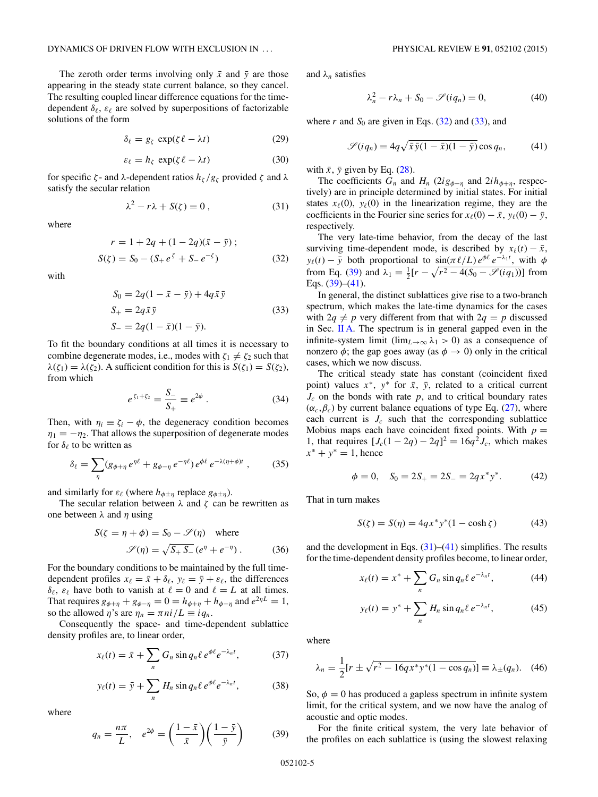<span id="page-4-0"></span>The zeroth order terms involving only  $\bar{x}$  and  $\bar{y}$  are those appearing in the steady state current balance, so they cancel. The resulting coupled linear difference equations for the timedependent  $\delta_{\ell}$ ,  $\varepsilon_{\ell}$  are solved by superpositions of factorizable solutions of the form

$$
\delta_{\ell} = g_{\zeta} \, \exp(\zeta \, \ell - \lambda t) \tag{29}
$$

$$
\varepsilon_{\ell} = h_{\zeta} \, \exp(\zeta \, \ell - \lambda t) \tag{30}
$$

for specific *ζ* - and *λ*-dependent ratios  $h_\zeta/g_\zeta$  provided *ζ* and *λ* satisfy the secular relation

$$
\lambda^2 - r\lambda + S(\zeta) = 0, \qquad (31)
$$

where

$$
r = 1 + 2q + (1 - 2q)(\bar{x} - \bar{y});
$$
  
\n
$$
S(\zeta) = S_0 - (S_+ e^{\zeta} + S_- e^{-\zeta})
$$
\n(32)

with

$$
S_0 = 2q(1 - \bar{x} - \bar{y}) + 4q\bar{x}\bar{y}
$$
  
\n
$$
S_+ = 2q\bar{x}\bar{y}
$$
  
\n
$$
S_- = 2q(1 - \bar{x})(1 - \bar{y}).
$$
  
\n(33)

To fit the boundary conditions at all times it is necessary to combine degenerate modes, i.e., modes with  $\zeta_1 \neq \zeta_2$  such that *λ*(*ζ*<sub>1</sub>) = *λ*(*ζ*<sub>2</sub>). A sufficient condition for this is *S*(*ζ*<sub>1</sub>) = *S*(*ζ*<sub>2</sub>), from which

$$
e^{\zeta_1 + \zeta_2} = \frac{S_-}{S_+} \equiv e^{2\phi} \ . \tag{34}
$$

Then, with  $\eta_i \equiv \zeta_i - \phi$ , the degeneracy condition becomes  $\eta_1 = -\eta_2$ . That allows the superposition of degenerate modes for  $\delta_{\ell}$  to be written as

$$
\delta_{\ell} = \sum_{\eta} (g_{\phi+\eta} e^{\eta \ell} + g_{\phi-\eta} e^{-\eta \ell}) e^{\phi \ell} e^{-\lambda(\eta+\phi)t} , \qquad (35)
$$

and similarly for  $\varepsilon_{\ell}$  (where  $h_{\phi \pm \eta}$  replace  $g_{\phi \pm \eta}$ ).

The secular relation between *λ* and *ζ* can be rewritten as one between *λ* and *η* using

$$
S(\zeta = \eta + \phi) = S_0 - \mathcal{S}(\eta) \text{ where}
$$

$$
\mathcal{S}(\eta) = \sqrt{S_+ S_-} (e^{\eta} + e^{-\eta}). \tag{36}
$$

For the boundary conditions to be maintained by the full timedependent profiles  $x_{\ell} = \bar{x} + \delta_{\ell}, y_{\ell} = \bar{y} + \varepsilon_{\ell}$ , the differences  $\delta_{\ell}$ ,  $\varepsilon_{\ell}$  have both to vanish at  $\ell = 0$  and  $\ell = L$  at all times. That requires  $g_{\phi+\eta} + g_{\phi-\eta} = 0 = h_{\phi+\eta} + h_{\phi-\eta}$  and  $e^{2\eta L} = 1$ , so the allowed  $\eta$ 's are  $\eta_n = \pi n i / L \equiv i q_n$ .

Consequently the space- and time-dependent sublattice density profiles are, to linear order,

$$
x_{\ell}(t) = \bar{x} + \sum_{n} G_n \sin q_n \ell \, e^{\phi \ell} e^{-\lambda_n t}, \tag{37}
$$

$$
y_{\ell}(t) = \bar{y} + \sum_{n} H_n \sin q_n \ell \, e^{\phi \ell} e^{-\lambda_n t}, \tag{38}
$$

where

$$
q_n = \frac{n\pi}{L}, \quad e^{2\phi} = \left(\frac{1-\bar{x}}{\bar{x}}\right) \left(\frac{1-\bar{y}}{\bar{y}}\right) \tag{39}
$$

and  $\lambda_n$  satisfies

$$
\lambda_n^2 - r\lambda_n + S_0 - \mathcal{S}(iq_n) = 0,\tag{40}
$$

where  $r$  and  $S_0$  are given in Eqs. (32) and (33), and

$$
\mathcal{S}(iq_n) = 4q\sqrt{\bar{x}\bar{y}(1-\bar{x})(1-\bar{y})}\cos q_n, \qquad (41)
$$

with  $\bar{x}$ ,  $\bar{y}$  given by Eq. [\(28\)](#page-3-0).

The coefficients  $G_n$  and  $H_n$  (2*i*g<sub> $\phi-\eta$ </sub> and 2*i* $h_{\phi+\eta}$ , respectively) are in principle determined by initial states. For initial states  $x_{\ell}(0)$ ,  $y_{\ell}(0)$  in the linearization regime, they are the coefficients in the Fourier sine series for  $x_{\ell}(0) - \bar{x}$ ,  $y_{\ell}(0) - \bar{y}$ , respectively.

The very late-time behavior, from the decay of the last surviving time-dependent mode, is described by  $x_{\ell}(t) - \bar{x}$ , *y*<sub> $\ell$ </sub>(*t*) − *y*<sup></sub> both proportional to sin( $\pi \ell/L$ )  $e^{\phi \ell} e^{-\lambda_1 t}$ , with  $\phi$ </sup> from Eq. (39) and  $\lambda_1 = \frac{1}{2} [r - \sqrt{r^2 - 4(S_0 - \mathcal{S}(iq_1))}]$  from Eqs.  $(39)–(41)$ .

In general, the distinct sublattices give rise to a two-branch spectrum, which makes the late-time dynamics for the cases with  $2q \neq p$  very different from that with  $2q = p$  discussed in Sec. [II A.](#page-2-0) The spectrum is in general gapped even in the infinite-system limit (lim<sub>*L*→∞</sub>  $\lambda$ <sub>1</sub> > 0) as a consequence of nonzero  $\phi$ ; the gap goes away (as  $\phi \rightarrow 0$ ) only in the critical cases, which we now discuss.

The critical steady state has constant (coincident fixed point) values  $x^*$ ,  $y^*$  for  $\bar{x}$ ,  $\bar{y}$ , related to a critical current  $J_c$  on the bonds with rate  $p$ , and to critical boundary rates  $(\alpha_c, \beta_c)$  by current balance equations of type Eq. [\(27\)](#page-3-0), where each current is  $J_c$  such that the corresponding sublattice Mobius maps each have coincident fixed points. With  $p =$ 1, that requires  $[J_c(1 - 2q) - 2q]^2 = 16q^2 J_c$ , which makes  $x^* + y^* = 1$ , hence

$$
\phi = 0, \quad S_0 = 2S_+ = 2S_- = 2qx^*y^*.
$$
 (42)

That in turn makes

$$
S(\zeta) = S(\eta) = 4qx^*y^*(1 - \cosh \zeta)
$$
 (43)

and the development in Eqs.  $(31)$ – $(41)$  simplifies. The results for the time-dependent density profiles become, to linear order,

$$
x_{\ell}(t) = x^* + \sum_{n} G_n \sin q_n \ell \, e^{-\lambda_n t}, \tag{44}
$$

$$
y_{\ell}(t) = y^* + \sum_n H_n \sin q_n \ell \, e^{-\lambda_n t}, \tag{45}
$$

where

$$
\lambda_n = \frac{1}{2} [r \pm \sqrt{r^2 - 16q x^* y^* (1 - \cos q_n)}] \equiv \lambda_{\pm}(q_n). \quad (46)
$$

So,  $\phi = 0$  has produced a gapless spectrum in infinite system limit, for the critical system, and we now have the analog of acoustic and optic modes.

For the finite critical system, the very late behavior of the profiles on each sublattice is (using the slowest relaxing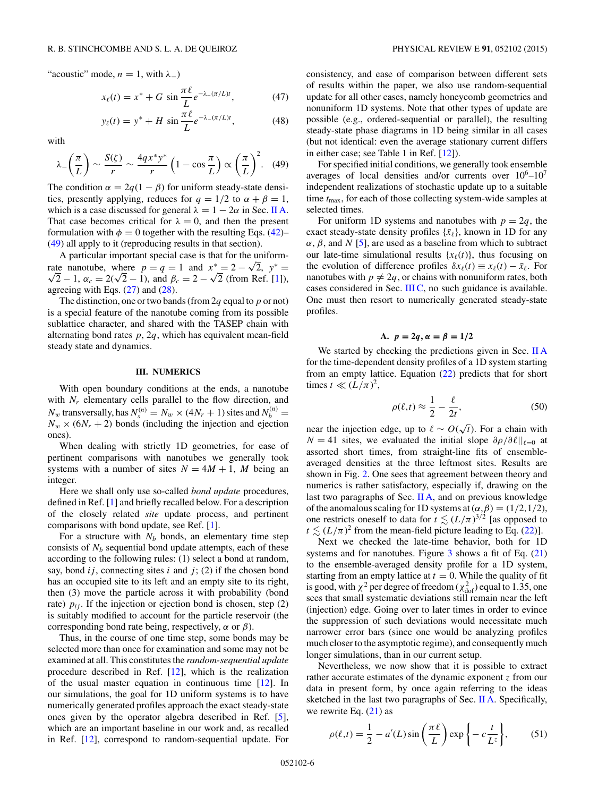<span id="page-5-0"></span>"acoustic" mode,  $n = 1$ , with  $\lambda_$ )

$$
x_{\ell}(t) = x^* + G \, \sin \frac{\pi \ell}{L} e^{-\lambda - (\pi/L)t}, \tag{47}
$$

$$
y_{\ell}(t) = y^* + H \, \sin \frac{\pi \ell}{L} e^{-\lambda_{-}(\pi/L)t}, \tag{48}
$$

with

$$
\lambda = \left(\frac{\pi}{L}\right) \sim \frac{S(\zeta)}{r} \sim \frac{4qx^*y^*}{r} \left(1 - \cos\frac{\pi}{L}\right) \propto \left(\frac{\pi}{L}\right)^2. \tag{49}
$$

The condition  $\alpha = 2q(1 - \beta)$  for uniform steady-state densities, presently applying, reduces for  $q = 1/2$  to  $\alpha + \beta = 1$ , which is a case discussed for general  $\lambda = 1 - 2\alpha$  in Sec. [II A.](#page-2-0) That case becomes critical for  $\lambda = 0$ , and then the present formulation with  $\phi = 0$  together with the resulting Eqs. [\(42\)](#page-4-0)– (49) all apply to it (reproducing results in that section).

A particular important special case is that for the uniform-A particular important special case is that for the uniform-<br>rate nanotube, where  $p = q = 1$  and  $x^* = 2 - \sqrt{2}$ ,  $y^* = \frac{1}{2}$  $\sqrt{2} - 1$ ,  $\alpha_c = 2(\sqrt{2} - 1)$ , and  $\beta_c = 2 - \sqrt{2}$  (from Ref. [\[1\]](#page-13-0)), agreeing with Eqs. [\(27\)](#page-3-0) and [\(28\)](#page-3-0).

The distinction, one or two bands (from 2*q* equal to *p* or not) is a special feature of the nanotube coming from its possible sublattice character, and shared with the TASEP chain with alternating bond rates *p*, 2*q*, which has equivalent mean-field steady state and dynamics.

#### **III. NUMERICS**

With open boundary conditions at the ends, a nanotube with  $N_r$  elementary cells parallel to the flow direction, and *N<sub>w</sub>* transversally, has  $N_s^{(n)} = N_w \times (4N_r + 1)$  sites and  $N_b^{(n)} =$  $N_w \times (6N_r + 2)$  bonds (including the injection and ejection ones).

When dealing with strictly 1D geometries, for ease of pertinent comparisons with nanotubes we generally took systems with a number of sites  $N = 4M + 1$ , M being an integer.

Here we shall only use so-called *bond update* procedures, defined in Ref. [\[1\]](#page-13-0) and briefly recalled below. For a description of the closely related *site* update process, and pertinent comparisons with bond update, see Ref. [\[1\]](#page-13-0).

For a structure with  $N_b$  bonds, an elementary time step consists of  $N<sub>b</sub>$  sequential bond update attempts, each of these according to the following rules: (1) select a bond at random, say, bond  $ij$ , connecting sites  $i$  and  $j$ ; (2) if the chosen bond has an occupied site to its left and an empty site to its right, then (3) move the particle across it with probability (bond rate)  $p_{ij}$ . If the injection or ejection bond is chosen, step (2) is suitably modified to account for the particle reservoir (the corresponding bond rate being, respectively, *α* or *β*).

Thus, in the course of one time step, some bonds may be selected more than once for examination and some may not be examined at all. This constitutes the *random-sequential update* procedure described in Ref. [\[12\]](#page-13-0), which is the realization of the usual master equation in continuous time [\[12\]](#page-13-0). In our simulations, the goal for 1D uniform systems is to have numerically generated profiles approach the exact steady-state ones given by the operator algebra described in Ref. [\[5\]](#page-13-0), which are an important baseline in our work and, as recalled in Ref. [\[12\]](#page-13-0), correspond to random-sequential update. For consistency, and ease of comparison between different sets of results within the paper, we also use random-sequential update for all other cases, namely honeycomb geometries and nonuniform 1D systems. Note that other types of update are possible (e.g., ordered-sequential or parallel), the resulting steady-state phase diagrams in 1D being similar in all cases (but not identical: even the average stationary current differs in either case; see Table 1 in Ref. [\[12\]](#page-13-0)).

For specified initial conditions, we generally took ensemble averages of local densities and/or currents over  $10^6-10^7$ independent realizations of stochastic update up to a suitable time *t*max, for each of those collecting system-wide samples at selected times.

For uniform 1D systems and nanotubes with  $p = 2q$ , the exact steady-state density profiles  $\{\bar{x}_\ell\}$ , known in 1D for any *α*, *β*, and *N* [\[5\]](#page-13-0), are used as a baseline from which to subtract our late-time simulational results  $\{x_\ell(t)\}\$ , thus focusing on the evolution of difference profiles  $\delta x_{\ell}(t) \equiv x_{\ell}(t) - \bar{x}_{\ell}$ . For nanotubes with  $p \neq 2q$ , or chains with nonuniform rates, both cases considered in Sec. [III C,](#page-9-0) no such guidance is available. One must then resort to numerically generated steady-state profiles.

### **A.**  $p = 2q, \alpha = \beta = 1/2$

We started by checking the predictions given in Sec. [II A](#page-2-0) for the time-dependent density profiles of a 1D system starting from an empty lattice. Equation [\(22\)](#page-2-0) predicts that for short times  $t \ll (L/\pi)^2$ ,

$$
\rho(\ell, t) \approx \frac{1}{2} - \frac{\ell}{2t},\tag{50}
$$

near the injection edge, up to  $\ell \sim O(\sqrt{t})$ . For a chain with  $N = 41$  sites, we evaluated the initial slope  $\partial \rho / \partial \ell ||_{\ell=0}$  at assorted short times, from straight-line fits of ensembleaveraged densities at the three leftmost sites. Results are shown in Fig. [2.](#page-3-0) One sees that agreement between theory and numerics is rather satisfactory, especially if, drawing on the last two paragraphs of Sec.  $\mathbf{II}$  A, and on previous knowledge of the anomalous scaling for 1D systems at  $(\alpha, \beta) = (1/2, 1/2)$ , one restricts oneself to data for  $t \lesssim (L/\pi)^{3/2}$  [as opposed to  $t \lesssim (L/\pi)^2$  from the mean-field picture leading to Eq. [\(22\)](#page-2-0)].

Next we checked the late-time behavior, both for 1D systems and for nanotubes. Figure  $3$  shows a fit of Eq.  $(21)$ to the ensemble-averaged density profile for a 1D system, starting from an empty lattice at  $t = 0$ . While the quality of fit is good, with  $\chi^2$  per degree of freedom ( $\chi^2_{\text{dof}}$ ) equal to 1.35, one sees that small systematic deviations still remain near the left (injection) edge. Going over to later times in order to evince the suppression of such deviations would necessitate much narrower error bars (since one would be analyzing profiles much closer to the asymptotic regime), and consequently much longer simulations, than in our current setup.

Nevertheless, we now show that it is possible to extract rather accurate estimates of the dynamic exponent *z* from our data in present form, by once again referring to the ideas sketched in the last two paragraphs of Sec. [II A.](#page-2-0) Specifically, we rewrite Eq.  $(21)$  as

$$
\rho(\ell, t) = \frac{1}{2} - a'(L)\sin\left(\frac{\pi \ell}{L}\right) \exp\left\{-c\frac{t}{L^z}\right\},\qquad(51)
$$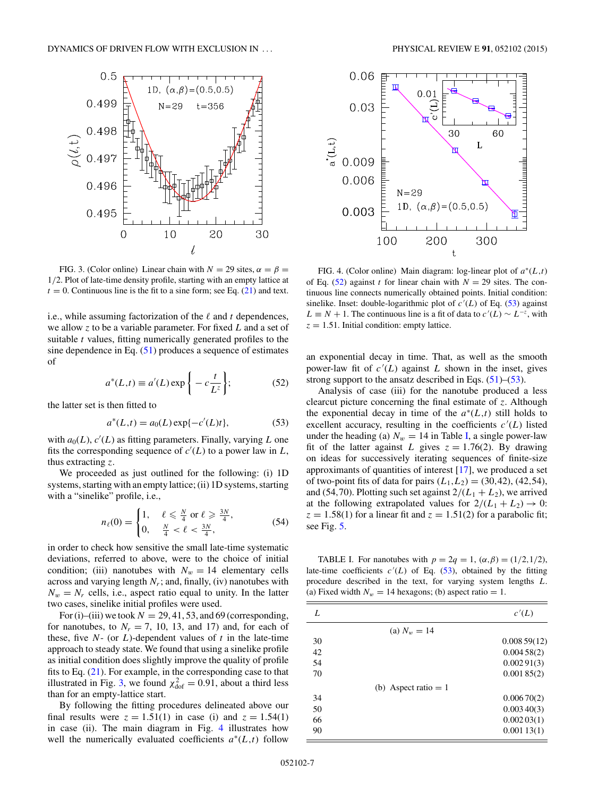<span id="page-6-0"></span>

FIG. 3. (Color online) Linear chain with  $N = 29$  sites,  $\alpha = \beta =$ 1*/*2. Plot of late-time density profile, starting with an empty lattice at  $t = 0$ . Continuous line is the fit to a sine form; see Eq. [\(21\)](#page-2-0) and text.

i.e., while assuming factorization of the  $\ell$  and  $t$  dependences, we allow *z* to be a variable parameter. For fixed *L* and a set of suitable *t* values, fitting numerically generated profiles to the sine dependence in Eq.  $(51)$  produces a sequence of estimates of

$$
a^*(L,t) \equiv a'(L) \exp\left\{-c\frac{t}{L^z}\right\};\tag{52}
$$

the latter set is then fitted to

$$
a^*(L,t) = a_0(L) \exp\{-c'(L)t\},\tag{53}
$$

with  $a_0(L)$ ,  $c'(L)$  as fitting parameters. Finally, varying L one fits the corresponding sequence of  $c'(L)$  to a power law in  $L$ , thus extracting *z*.

We proceeded as just outlined for the following: (i) 1D systems, starting with an empty lattice; (ii) 1D systems, starting with a "sinelike" profile, i.e.,

$$
n_{\ell}(0) = \begin{cases} 1, & \ell \leq \frac{N}{4} \text{ or } \ell \geq \frac{3N}{4}, \\ 0, & \frac{N}{4} < \ell < \frac{3N}{4}, \end{cases}
$$
(54)

in order to check how sensitive the small late-time systematic deviations, referred to above, were to the choice of initial condition; (iii) nanotubes with  $N_w = 14$  elementary cells across and varying length  $N_r$ ; and, finally, (iv) nanotubes with  $N_w = N_r$  cells, i.e., aspect ratio equal to unity. In the latter two cases, sinelike initial profiles were used.

For (i)–(iii) we took  $N = 29, 41, 53$ , and 69 (corresponding, for nanotubes, to  $N_r = 7$ , 10, 13, and 17) and, for each of these, five  $N$ - (or  $L$ )-dependent values of  $t$  in the late-time approach to steady state. We found that using a sinelike profile as initial condition does slightly improve the quality of profile fits to Eq. [\(21\)](#page-2-0). For example, in the corresponding case to that illustrated in Fig. 3, we found  $\chi^2_{\text{dof}} = 0.91$ , about a third less than for an empty-lattice start.

By following the fitting procedures delineated above our final results were  $z = 1.51(1)$  in case (i) and  $z = 1.54(1)$ in case (ii). The main diagram in Fig. 4 illustrates how well the numerically evaluated coefficients *a*<sup>∗</sup>(*L,t*) follow



FIG. 4. (Color online) Main diagram: log-linear plot of *a*<sup>∗</sup>(*L,t*) of Eq. (52) against *t* for linear chain with  $N = 29$  sites. The continuous line connects numerically obtained points. Initial condition: sinelike. Inset: double-logarithmic plot of  $c'(L)$  of Eq. (53) against  $L \equiv N + 1$ . The continuous line is a fit of data to  $c'(L) \sim L^{-z}$ , with  $z = 1.51$ . Initial condition: empty lattice.

an exponential decay in time. That, as well as the smooth power-law fit of  $c'(L)$  against L shown in the inset, gives strong support to the ansatz described in Eqs.  $(51)$ – $(53)$ .

Analysis of case (iii) for the nanotube produced a less clearcut picture concerning the final estimate of *z*. Although the exponential decay in time of the  $a^*(L,t)$  still holds to excellent accuracy, resulting in the coefficients  $c'(L)$  listed under the heading (a)  $N_w = 14$  in Table I, a single power-law fit of the latter against *L* gives  $z = 1.76(2)$ . By drawing on ideas for successively iterating sequences of finite-size approximants of quantities of interest [\[17\]](#page-13-0), we produced a set of two-point fits of data for pairs  $(L_1, L_2) = (30, 42), (42, 54),$ and (54,70). Plotting such set against  $2/(L_1 + L_2)$ , we arrived at the following extrapolated values for  $2/(L_1 + L_2) \rightarrow 0$ :  $z = 1.58(1)$  for a linear fit and  $z = 1.51(2)$  for a parabolic fit; see Fig. [5.](#page-7-0)

TABLE I. For nanotubes with  $p = 2q = 1$ ,  $(\alpha, \beta) = (1/2, 1/2)$ , late-time coefficients  $c'(L)$  of Eq.  $(53)$ , obtained by the fitting procedure described in the text, for varying system lengths *L*. (a) Fixed width  $N_w = 14$  hexagons; (b) aspect ratio = 1.

| L  |                        | c'(L)       |
|----|------------------------|-------------|
|    | (a) $N_w = 14$         |             |
| 30 |                        | 0.00859(12) |
| 42 |                        | 0.00458(2)  |
| 54 |                        | 0.00291(3)  |
| 70 |                        | 0.00185(2)  |
|    | (b) Aspect ratio $= 1$ |             |
| 34 |                        | 0.00670(2)  |
| 50 |                        | 0.00340(3)  |
| 66 |                        | 0.00203(1)  |
| 90 |                        | 0.00113(1)  |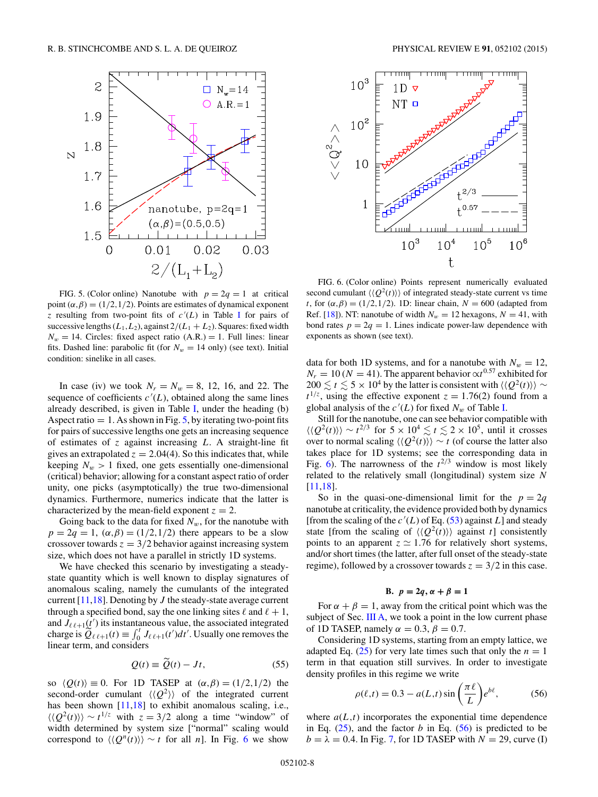<span id="page-7-0"></span>

FIG. 5. (Color online) Nanotube with  $p = 2q = 1$  at critical point  $(\alpha, \beta) = (1/2, 1/2)$ . Points are estimates of dynamical exponent *z* resulting from two-point fits of  $c'(L)$  in Table [I](#page-6-0) for pairs of successive lengths  $(L_1, L_2)$ , against  $2/(L_1 + L_2)$ . Squares: fixed width  $N_w = 14$ . Circles: fixed aspect ratio  $(A.R.) = 1$ . Full lines: linear fits. Dashed line: parabolic fit (for  $N_w = 14$  only) (see text). Initial condition: sinelike in all cases.

In case (iv) we took  $N_r = N_w = 8$ , 12, 16, and 22. The sequence of coefficients  $c'(L)$ , obtained along the same lines already described, is given in Table [I,](#page-6-0) under the heading (b) Aspect ratio  $= 1$ . As shown in Fig. 5, by iterating two-point fits for pairs of successive lengths one gets an increasing sequence of estimates of *z* against increasing *L*. A straight-line fit gives an extrapolated  $z = 2.04(4)$ . So this indicates that, while keeping  $N_w > 1$  fixed, one gets essentially one-dimensional (critical) behavior; allowing for a constant aspect ratio of order unity, one picks (asymptotically) the true two-dimensional dynamics. Furthermore, numerics indicate that the latter is characterized by the mean-field exponent  $z = 2$ .

Going back to the data for fixed  $N_w$ , for the nanotube with  $p = 2q = 1$ ,  $(\alpha, \beta) = (1/2, 1/2)$  there appears to be a slow crossover towards  $z = 3/2$  behavior against increasing system size, which does not have a parallel in strictly 1D systems.

We have checked this scenario by investigating a steadystate quantity which is well known to display signatures of anomalous scaling, namely the cumulants of the integrated current [\[11,18\]](#page-13-0). Denoting by *J* the steady-state average current through a specified bond, say the one linking sites  $\ell$  and  $\ell + 1$ , and  $J_{\ell \ell+1}(t')$  its instantaneous value, the associated integrated charge is  $\widetilde{Q}_{\ell \ell+1}(t) \equiv \int_0^t J_{\ell \ell+1}(t') dt'$ . Usually one removes the linear term, and considers

$$
Q(t) \equiv \tilde{Q}(t) - Jt, \qquad (55)
$$

so  $\langle Q(t) \rangle = 0$ . For 1D TASEP at  $(\alpha, \beta) = (1/2, 1/2)$  the second-order cumulant  $\langle \langle Q^2 \rangle \rangle$  of the integrated current has been shown [\[11,18\]](#page-13-0) to exhibit anomalous scaling, i.e.,  $\langle \langle Q^2(t) \rangle \rangle \sim t^{1/z}$  with  $z = 3/2$  along a time "window" of width determined by system size ["normal" scaling would correspond to  $\langle Q^n(t) \rangle$  ∼ *t* for all *n*]. In Fig. 6 we show



FIG. 6. (Color online) Points represent numerically evaluated second cumulant  $\langle \langle Q^2(t) \rangle \rangle$  of integrated steady-state current vs time *t*, for  $(\alpha, \beta) = (1/2, 1/2)$ . 1D: linear chain,  $N = 600$  (adapted from Ref. [\[18\]](#page-13-0)). NT: nanotube of width  $N_w = 12$  hexagons,  $N = 41$ , with bond rates  $p = 2q = 1$ . Lines indicate power-law dependence with exponents as shown (see text).

data for both 1D systems, and for a nanotube with  $N_w = 12$ ,  $N_r = 10 (N = 41)$ . The apparent behavior  $\propto t^{0.57}$  exhibited for 200  $\lesssim t \lesssim 5 \times 10^4$  by the latter is consistent with  $\langle \langle Q^2(t) \rangle \rangle$  ∼  $t^{1/z}$ , using the effective exponent  $z = 1.76(2)$  found from a global analysis of the  $c'(L)$  for fixed  $N_w$  of Table [I.](#page-6-0)

Still for the nanotube, one can see behavior compatible with  $\langle \langle Q^2(t) \rangle \rangle \sim t^{2/3}$  for  $5 \times 10^4 \lesssim t \lesssim 2 \times 10^5$ , until it crosses over to normal scaling  $\langle \langle Q^2(t) \rangle \rangle \sim t$  (of course the latter also takes place for 1D systems; see the corresponding data in Fig. 6). The narrowness of the  $t^{2/3}$  window is most likely related to the relatively small (longitudinal) system size *N* [\[11,18\]](#page-13-0).

So in the quasi-one-dimensional limit for the  $p = 2q$ nanotube at criticality, the evidence provided both by dynamics [from the scaling of the  $c'(L)$  of Eq. [\(53\)](#page-6-0) against  $L$ ] and steady state [from the scaling of  $\langle \langle Q^2(t) \rangle \rangle$  against *t*] consistently points to an apparent  $z \approx 1.76$  for relatively short systems, and/or short times (the latter, after full onset of the steady-state regime), followed by a crossover towards  $z = 3/2$  in this case.

### **B.**  $p = 2q$ ,  $\alpha + \beta = 1$

For  $\alpha + \beta = 1$ , away from the critical point which was the subject of Sec. [III A,](#page-5-0) we took a point in the low current phase of 1D TASEP, namely  $\alpha = 0.3$ ,  $\beta = 0.7$ .

Considering 1D systems, starting from an empty lattice, we adapted Eq.  $(25)$  for very late times such that only the  $n = 1$ term in that equation still survives. In order to investigate density profiles in this regime we write

$$
\rho(\ell, t) = 0.3 - a(L, t) \sin\left(\frac{\pi \ell}{L}\right) e^{bt},\tag{56}
$$

where  $a(L,t)$  incorporates the exponential time dependence in Eq.  $(25)$ , and the factor *b* in Eq.  $(56)$  is predicted to be  $b = \lambda = 0.4$ . In Fig. [7,](#page-8-0) for 1D TASEP with  $N = 29$ , curve (I)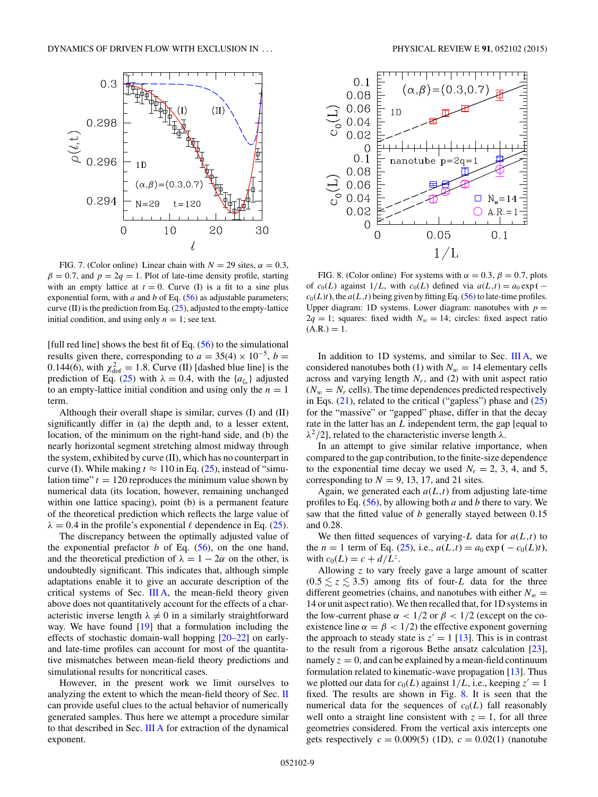<span id="page-8-0"></span>

FIG. 7. (Color online) Linear chain with  $N = 29$  sites,  $\alpha = 0.3$ ,  $\beta = 0.7$ , and  $p = 2q = 1$ . Plot of late-time density profile, starting with an empty lattice at  $t = 0$ . Curve (I) is a fit to a sine plus exponential form, with  $a$  and  $b$  of Eq. [\(56\)](#page-7-0) as adjustable parameters; curve (II) is the prediction from Eq.  $(25)$ , adjusted to the empty-lattice initial condition, and using only  $n = 1$ ; see text.

[full red line] shows the best fit of Eq.  $(56)$  to the simulational results given there, corresponding to  $a = 35(4) \times 10^{-5}$ ,  $b =$ 0.144(6), with  $\chi^2_{\text{dof}} = 1.8$ . Curve (II) [dashed blue line] is the prediction of Eq. [\(25\)](#page-3-0) with  $\lambda = 0.4$ , with the { $a_{\zeta_n}$ } adjusted to an empty-lattice initial condition and using only the  $n = 1$ term.

Although their overall shape is similar, curves (I) and (II) significantly differ in (a) the depth and, to a lesser extent, location, of the minimum on the right-hand side, and (b) the nearly horizontal segment stretching almost midway through the system, exhibited by curve (II), which has no counterpart in curve (I). While making  $t \approx 110$  in Eq. [\(25\)](#page-3-0), instead of "simulation time"  $t = 120$  reproduces the minimum value shown by numerical data (its location, however, remaining unchanged within one lattice spacing), point (b) is a permanent feature of the theoretical prediction which reflects the large value of  $\lambda = 0.4$  in the profile's exponential  $\ell$  dependence in Eq. [\(25\)](#page-3-0).

The discrepancy between the optimally adjusted value of the exponential prefactor  $b$  of Eq.  $(56)$ , on the one hand, and the theoretical prediction of  $\lambda = 1 - 2\alpha$  on the other, is undoubtedly significant. This indicates that, although simple adaptations enable it to give an accurate description of the critical systems of Sec. [III A,](#page-5-0) the mean-field theory given above does not quantitatively account for the effects of a characteristic inverse length  $\lambda \neq 0$  in a similarly straightforward way. We have found  $[19]$  that a formulation including the effects of stochastic domain-wall hopping [\[20–22\]](#page-13-0) on earlyand late-time profiles can account for most of the quantitative mismatches between mean-field theory predictions and simulational results for noncritical cases.

However, in the present work we limit ourselves to analyzing the extent to which the mean-field theory of Sec. [II](#page-1-0) can provide useful clues to the actual behavior of numerically generated samples. Thus here we attempt a procedure similar to that described in Sec. [III A](#page-5-0) for extraction of the dynamical exponent.



FIG. 8. (Color online) For systems with  $\alpha = 0.3$ ,  $\beta = 0.7$ , plots of  $c_0(L)$  against  $1/L$ , with  $c_0(L)$  defined via  $a(L,t) = a_0 \exp(-t)$  $c_0(L)t$ ), the  $a(L,t)$  being given by fitting Eq. [\(56\)](#page-7-0) to late-time profiles. Upper diagram: 1D systems. Lower diagram: nanotubes with  $p =$  $2q = 1$ ; squares: fixed width  $N_w = 14$ ; circles: fixed aspect ratio  $(A.R.) = 1.$ 

In addition to 1D systems, and similar to Sec. [III A,](#page-5-0) we considered nanotubes both (1) with  $N_w = 14$  elementary cells across and varying length  $N_r$ , and (2) with unit aspect ratio  $(N_w = N_r \text{ cells})$ . The time dependences predicted respectively in Eqs.  $(21)$ , related to the critical ("gapless") phase and  $(25)$ for the "massive" or "gapped" phase, differ in that the decay rate in the latter has an *L* independent term, the gap [equal to  $λ<sup>2</sup>/2$ ], related to the characteristic inverse length  $λ$ .

In an attempt to give similar relative importance, when compared to the gap contribution, to the finite-size dependence to the exponential time decay we used  $N_r = 2, 3, 4,$  and 5, corresponding to  $N = 9$ , 13, 17, and 21 sites.

Again, we generated each  $a(L,t)$  from adjusting late-time profiles to Eq. [\(56\)](#page-7-0), by allowing both *a* and *b* there to vary. We saw that the fitted value of *b* generally stayed between 0*.*15 and 0*.*28.

We then fitted sequences of varying-*L* data for  $a(L,t)$  to the *n* = 1 term of Eq. [\(25\)](#page-3-0), i.e.,  $a(L,t) = a_0 \exp(-c_0(L)t)$ , with  $c_0(L) = c + d/L^z$ .

Allowing *z* to vary freely gave a large amount of scatter  $(0.5 \le z \le 3.5)$  among fits of four-*L* data for the three different geometries (chains, and nanotubes with either  $N_w =$ 14 or unit aspect ratio). We then recalled that, for 1D systems in the low-current phase  $\alpha$  < 1/2 or  $\beta$  < 1/2 (except on the coexistence line  $\alpha = \beta < 1/2$ ) the effective exponent governing the approach to steady state is  $z' = 1$  [\[13\]](#page-13-0). This is in contrast to the result from a rigorous Bethe ansatz calculation [\[23\]](#page-13-0), namely  $z = 0$ , and can be explained by a mean-field continuum formulation related to kinematic-wave propagation [\[13\]](#page-13-0). Thus we plotted our data for  $c_0(L)$  against  $1/L$ , i.e., keeping  $z' = 1$ fixed. The results are shown in Fig. 8. It is seen that the numerical data for the sequences of  $c_0(L)$  fall reasonably well onto a straight line consistent with  $z = 1$ , for all three geometries considered. From the vertical axis intercepts one gets respectively  $c = 0.009(5)$  (1D),  $c = 0.02(1)$  (nanotube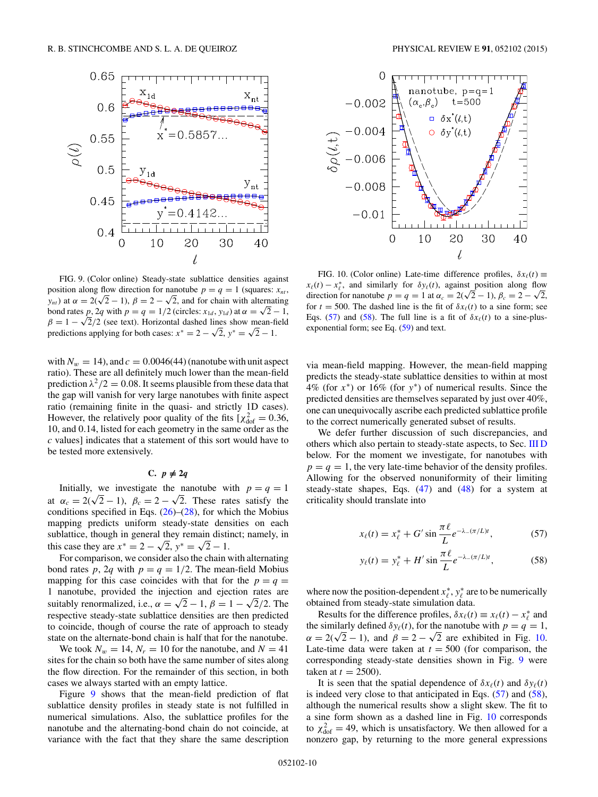<span id="page-9-0"></span>

FIG. 9. (Color online) Steady-state sublattice densities against position along flow direction for nanotube  $p = q = 1$  (squares:  $x_{nt}$ , *y<sub>nt</sub>*) at  $\alpha = 2(\sqrt{2} - 1)$ ,  $\beta = 2 - \sqrt{2}$ , and for chain with alternating bond rates *p*, 2*q* with  $p = q = 1/2$  (circles:  $x_{1d}$ ,  $y_{1d}$ ) at  $\alpha = \sqrt{2} - 1$ ,  $\beta = 1 - \sqrt{2}/2$  (see text). Horizontal dashed lines show mean-field predictions applying for both cases:  $x^* = 2 - \sqrt{2}$ ,  $y^* = \sqrt{2} - 1$ .

with  $N_w = 14$ ), and  $c = 0.0046(44)$  (nanotube with unit aspect ratio). These are all definitely much lower than the mean-field prediction  $\lambda^2/2 = 0.08$ . It seems plausible from these data that the gap will vanish for very large nanotubes with finite aspect ratio (remaining finite in the quasi- and strictly 1D cases). However, the relatively poor quality of the fits  $[\chi^2_{\text{dof}}] = 0.36$ , 10, and 0*.*14, listed for each geometry in the same order as the *c* values] indicates that a statement of this sort would have to be tested more extensively.

# $C. p \neq 2q$

Initially, we investigate the nanotube with  $p = q = 1$ at  $\alpha_c = 2(\sqrt{2}-1)$ ,  $\beta_c = 2-\sqrt{2}$ . These rates satisfy the conditions specified in Eqs.  $(26)$ – $(28)$ , for which the Mobius mapping predicts uniform steady-state densities on each sublattice, though in general they remain distinct; namely, in this case they are  $x^* = 2 - \sqrt{2}$ ,  $y^* = \sqrt{2} - 1$ .

For comparison, we consider also the chain with alternating bond rates *p*, 2*q* with  $p = q = 1/2$ . The mean-field Mobius mapping for this case coincides with that for the  $p = q =$ 1 nanotube, provided the injection and ejection rates are suitably renormalized, i.e.,  $\alpha = \sqrt{2} - 1$ ,  $\beta = 1 - \sqrt{2}/2$ . The respective steady-state sublattice densities are then predicted to coincide, though of course the rate of approach to steady state on the alternate-bond chain is half that for the nanotube.

We took  $N_w = 14$ ,  $N_r = 10$  for the nanotube, and  $N = 41$ sites for the chain so both have the same number of sites along the flow direction. For the remainder of this section, in both cases we always started with an empty lattice.

Figure 9 shows that the mean-field prediction of flat sublattice density profiles in steady state is not fulfilled in numerical simulations. Also, the sublattice profiles for the nanotube and the alternating-bond chain do not coincide, at variance with the fact that they share the same description



FIG. 10. (Color online) Late-time difference profiles,  $\delta x_\ell(t) \equiv$  $x_{\ell}(t) - x_{\ell}^{*}$ , and similarly for  $\delta y_{\ell}(t)$ , against position along flow direction for nanotube  $p = q = 1$  at  $\alpha_c = 2(\sqrt{2} - 1)$ ,  $\beta_c = 2 - \sqrt{2}$ , for  $t = 500$ . The dashed line is the fit of  $\delta x_{\ell}(t)$  to a sine form; see Eqs. (57) and (58). The full line is a fit of  $\delta x_{\ell}(t)$  to a sine-plusexponential form; see Eq. [\(59\)](#page-10-0) and text.

via mean-field mapping. However, the mean-field mapping predicts the steady-state sublattice densities to within at most 4% (for *x*<sup>∗</sup>) or 16% (for *y*<sup>∗</sup>) of numerical results. Since the predicted densities are themselves separated by just over 40%, one can unequivocally ascribe each predicted sublattice profile to the correct numerically generated subset of results.

We defer further discussion of such discrepancies, and others which also pertain to steady-state aspects, to Sec. [III D](#page-10-0) below. For the moment we investigate, for nanotubes with  $p = q = 1$ , the very late-time behavior of the density profiles. Allowing for the observed nonuniformity of their limiting steady-state shapes, Eqs.  $(47)$  and  $(48)$  for a system at criticality should translate into

$$
x_{\ell}(t) = x_{\ell}^* + G' \sin \frac{\pi \ell}{L} e^{-\lambda_{-}(\pi/L)t}, \qquad (57)
$$

$$
y_{\ell}(t) = y_{\ell}^* + H' \sin \frac{\pi \ell}{L} e^{-\lambda_{-}(\pi/L)t}, \qquad (58)
$$

where now the position-dependent  $x^*_{\ell}, y^*_{\ell}$  are to be numerically obtained from steady-state simulation data.

Results for the difference profiles,  $\delta x_{\ell}(t) \equiv x_{\ell}(t) - x_{\ell}^{*}$  and the similarly defined  $\delta y_{\ell}(t)$ , for the nanotube with  $p = q = 1$ ,  $\alpha = 2(\sqrt{2} - 1)$ , and  $\beta = 2 - \sqrt{2}$  are exhibited in Fig. 10. Late-time data were taken at  $t = 500$  (for comparison, the corresponding steady-state densities shown in Fig. 9 were taken at  $t = 2500$ ).

It is seen that the spatial dependence of  $\delta x_{\ell}(t)$  and  $\delta y_{\ell}(t)$ is indeed very close to that anticipated in Eqs. (57) and (58), although the numerical results show a slight skew. The fit to a sine form shown as a dashed line in Fig. 10 corresponds to  $\chi^2_{\text{dof}} = 49$ , which is unsatisfactory. We then allowed for a nonzero gap, by returning to the more general expressions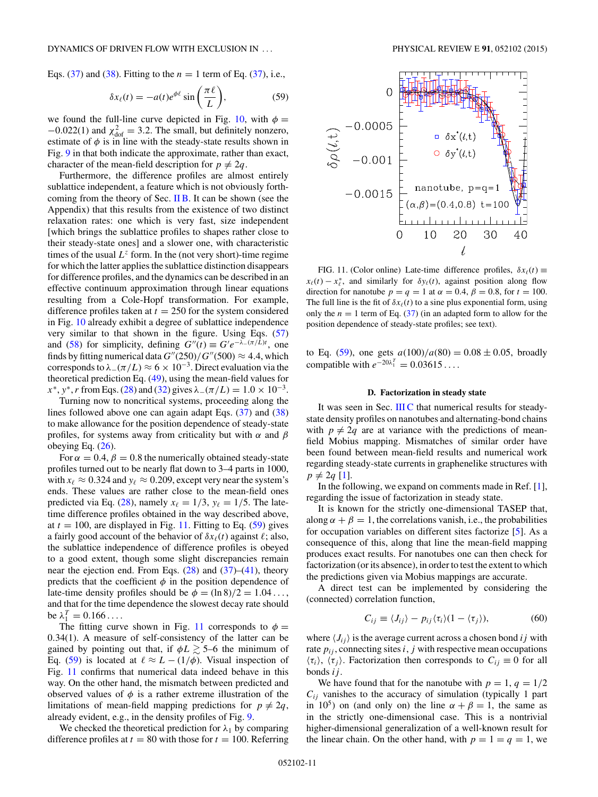<span id="page-10-0"></span>Eqs.  $(37)$  and  $(38)$ . Fitting to the  $n = 1$  term of Eq.  $(37)$ , i.e.,

$$
\delta x_{\ell}(t) = -a(t)e^{\phi \ell} \sin\left(\frac{\pi \ell}{L}\right),\tag{59}
$$

we found the full-line curve depicted in Fig. [10,](#page-9-0) with  $\phi =$  $-0.022(1)$  and  $\chi^2_{\text{dof}} = 3.2$ . The small, but definitely nonzero, estimate of  $\phi$  is in line with the steady-state results shown in Fig. [9](#page-9-0) in that both indicate the approximate, rather than exact, character of the mean-field description for  $p \neq 2q$ .

Furthermore, the difference profiles are almost entirely sublattice independent, a feature which is not obviously forthcoming from the theory of Sec.  $\overline{I}$  IB. It can be shown (see the Appendix) that this results from the existence of two distinct relaxation rates: one which is very fast, size independent [which brings the sublattice profiles to shapes rather close to their steady-state ones] and a slower one, with characteristic times of the usual  $L^z$  form. In the (not very short)-time regime for which the latter applies the sublattice distinction disappears for difference profiles, and the dynamics can be described in an effective continuum approximation through linear equations resulting from a Cole-Hopf transformation. For example, difference profiles taken at  $t = 250$  for the system considered in Fig. [10](#page-9-0) already exhibit a degree of sublattice independence very similar to that shown in the figure. Using Eqs. [\(57\)](#page-9-0) and [\(58\)](#page-9-0) for simplicity, defining  $G''(t) \equiv G'e^{-\lambda_-(\pi/L)t}$ , one finds by fitting numerical data  $G''(250)/G''(500) \approx 4.4$ , which corresponds to  $\lambda_-(\pi/L) \approx 6 \times 10^{-3}$ . Direct evaluation via the theoretical prediction Eq. [\(49\)](#page-5-0), using the mean-field values for  $x^*$ ,  $y^*$ , *r* from Eqs. [\(28\)](#page-3-0) and [\(32\)](#page-4-0) gives  $\lambda_-(\pi/L) = 1.0 \times 10^{-3}$ .

Turning now to noncritical systems, proceeding along the lines followed above one can again adapt Eqs. [\(37\)](#page-4-0) and [\(38\)](#page-4-0) to make allowance for the position dependence of steady-state profiles, for systems away from criticality but with *α* and *β* obeying Eq.  $(26)$ .

For  $\alpha = 0.4$ ,  $\beta = 0.8$  the numerically obtained steady-state profiles turned out to be nearly flat down to 3–4 parts in 1000, with  $x_{\ell} \approx 0.324$  and  $y_{\ell} \approx 0.209$ , except very near the system's ends. These values are rather close to the mean-field ones predicted via Eq. [\(28\)](#page-3-0), namely  $x_{\ell} = 1/3$ ,  $y_{\ell} = 1/5$ . The latetime difference profiles obtained in the way described above, at  $t = 100$ , are displayed in Fig. 11. Fitting to Eq.  $(59)$  gives a fairly good account of the behavior of  $\delta x_{\ell}(t)$  against  $\ell$ ; also, the sublattice independence of difference profiles is obeyed to a good extent, though some slight discrepancies remain near the ejection end. From Eqs.  $(28)$  and  $(37)$ – $(41)$ , theory predicts that the coefficient  $\phi$  in the position dependence of late-time density profiles should be  $\phi = (\ln 8)/2 = 1.04...$ and that for the time dependence the slowest decay rate should be  $\lambda_1^T = 0.166 \dots$ 

The fitting curve shown in Fig. 11 corresponds to  $\phi =$ 0*.*34(1). A measure of self-consistency of the latter can be gained by pointing out that, if  $\phi L \gtrsim 5$ –6 the minimum of Eq. (59) is located at  $\ell \approx L - (1/\phi)$ . Visual inspection of Fig. 11 confirms that numerical data indeed behave in this way. On the other hand, the mismatch between predicted and observed values of  $\phi$  is a rather extreme illustration of the limitations of mean-field mapping predictions for  $p \neq 2q$ , already evident, e.g., in the density profiles of Fig. [9.](#page-9-0)

We checked the theoretical prediction for  $\lambda_1$  by comparing difference profiles at  $t = 80$  with those for  $t = 100$ . Referring



FIG. 11. (Color online) Late-time difference profiles,  $\delta x_{\ell}(t) \equiv$  $x_{\ell}(t) - x_{\ell}^{*}$ , and similarly for  $\delta y_{\ell}(t)$ , against position along flow direction for nanotube  $p = q = 1$  at  $\alpha = 0.4$ ,  $\beta = 0.8$ , for  $t = 100$ . The full line is the fit of  $\delta x_{\ell}(t)$  to a sine plus exponential form, using only the  $n = 1$  term of Eq. [\(37\)](#page-4-0) (in an adapted form to allow for the position dependence of steady-state profiles; see text).

to Eq. (59), one gets  $a(100)/a(80) = 0.08 \pm 0.05$ , broadly compatible with  $e^{-20\lambda_1^T} = 0.03615...$ 

#### **D. Factorization in steady state**

It was seen in Sec. [III C](#page-9-0) that numerical results for steadystate density profiles on nanotubes and alternating-bond chains with  $p \neq 2q$  are at variance with the predictions of meanfield Mobius mapping. Mismatches of similar order have been found between mean-field results and numerical work regarding steady-state currents in graphenelike structures with  $p \neq 2q$  [\[1\]](#page-13-0).

In the following, we expand on comments made in Ref. [\[1\]](#page-13-0), regarding the issue of factorization in steady state.

It is known for the strictly one-dimensional TASEP that, along  $\alpha + \beta = 1$ , the correlations vanish, i.e., the probabilities for occupation variables on different sites factorize [\[5\]](#page-13-0). As a consequence of this, along that line the mean-field mapping produces exact results. For nanotubes one can then check for factorization (or its absence), in order to test the extent to which the predictions given via Mobius mappings are accurate.

A direct test can be implemented by considering the (connected) correlation function,

$$
C_{ij} \equiv \langle J_{ij} \rangle - p_{ij} \langle \tau_i \rangle (1 - \langle \tau_j \rangle), \tag{60}
$$

where  $\langle J_{ij} \rangle$  is the average current across a chosen bond *i j* with rate  $p_{ij}$ , connecting sites  $i$ ,  $j$  with respective mean occupations  $\langle \tau_i \rangle$ ,  $\langle \tau_j \rangle$ . Factorization then corresponds to  $C_{ij} \equiv 0$  for all bonds *ij* .

We have found that for the nanotube with  $p = 1$ ,  $q = 1/2$  $C_{ij}$  vanishes to the accuracy of simulation (typically 1 part in 10<sup>5</sup>) on (and only on) the line  $\alpha + \beta = 1$ , the same as in the strictly one-dimensional case. This is a nontrivial higher-dimensional generalization of a well-known result for the linear chain. On the other hand, with  $p = 1 = q = 1$ , we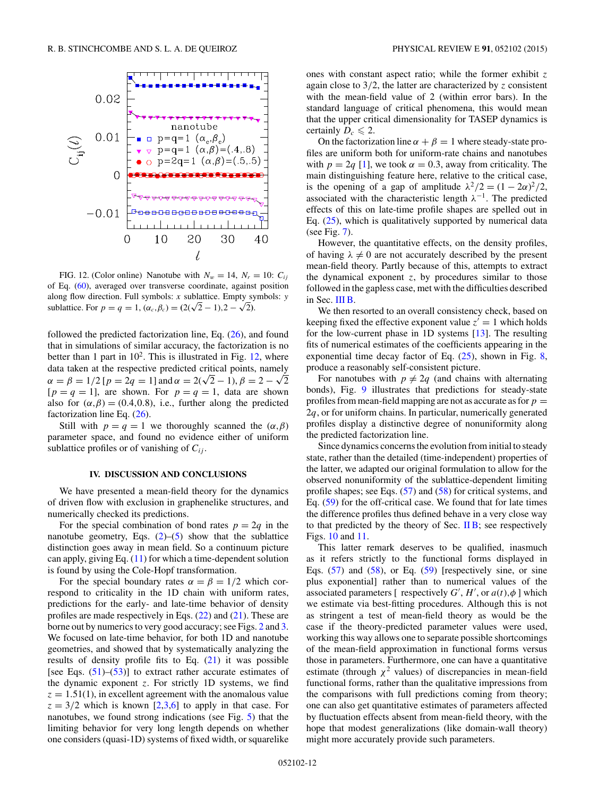<span id="page-11-0"></span>

FIG. 12. (Color online) Nanotube with  $N_w = 14$ ,  $N_r = 10$ :  $C_{ij}$ of Eq. [\(60\)](#page-10-0), averaged over transverse coordinate, against position along flow direction. Full symbols: *x* sublattice. Empty symbols: *y* sublattice. For  $p = q = 1$ ,  $(\alpha_c, \beta_c) = (2(\sqrt{2} - 1), 2 - \sqrt{2})$ .

followed the predicted factorization line, Eq. [\(26\)](#page-3-0), and found that in simulations of similar accuracy, the factorization is no better than 1 part in  $10^2$ . This is illustrated in Fig. 12, where data taken at the respective predicted critical points, namely  $\alpha = \beta = 1/2$  [ $p = 2q = 1$ ] and  $\alpha = 2(\sqrt{2} - 1)$ ,  $\beta = 2 - \sqrt{2}$  $[p = q = 1]$ , are shown. For  $p = q = 1$ , data are shown also for  $(\alpha, \beta) = (0.4, 0.8)$ , i.e., further along the predicted factorization line Eq.  $(26)$ .

Still with  $p = q = 1$  we thoroughly scanned the  $(\alpha, \beta)$ parameter space, and found no evidence either of uniform sublattice profiles or of vanishing of  $C_{ij}$ .

#### **IV. DISCUSSION AND CONCLUSIONS**

We have presented a mean-field theory for the dynamics of driven flow with exclusion in graphenelike structures, and numerically checked its predictions.

For the special combination of bond rates  $p = 2q$  in the nanotube geometry, Eqs.  $(2)$ – $(5)$  show that the sublattice distinction goes away in mean field. So a continuum picture can apply, giving Eq. [\(11\)](#page-2-0) for which a time-dependent solution is found by using the Cole-Hopf transformation.

For the special boundary rates  $\alpha = \beta = 1/2$  which correspond to criticality in the 1D chain with uniform rates, predictions for the early- and late-time behavior of density profiles are made respectively in Eqs.  $(22)$  and  $(21)$ . These are borne out by numerics to very good accuracy; see Figs. [2](#page-3-0) and [3.](#page-6-0) We focused on late-time behavior, for both 1D and nanotube geometries, and showed that by systematically analyzing the results of density profile fits to Eq.  $(21)$  it was possible [see Eqs.  $(51)$ – $(53)$ ] to extract rather accurate estimates of the dynamic exponent *z*. For strictly 1D systems, we find  $z = 1.51(1)$ , in excellent agreement with the anomalous value  $z = 3/2$  which is known [\[2,3,6\]](#page-13-0) to apply in that case. For nanotubes, we found strong indications (see Fig. [5\)](#page-7-0) that the limiting behavior for very long length depends on whether one considers (quasi-1D) systems of fixed width, or squarelike

ones with constant aspect ratio; while the former exhibit *z* again close to 3*/*2, the latter are characterized by *z* consistent with the mean-field value of 2 (within error bars). In the standard language of critical phenomena, this would mean that the upper critical dimensionality for TASEP dynamics is certainly  $D_c \leq 2$ .

On the factorization line  $\alpha + \beta = 1$  where steady-state profiles are uniform both for uniform-rate chains and nanotubes with  $p = 2q$  [\[1\]](#page-13-0), we took  $\alpha = 0.3$ , away from criticality. The main distinguishing feature here, relative to the critical case, is the opening of a gap of amplitude  $\lambda^2/2 = (1 - 2\alpha)^2/2$ , associated with the characteristic length  $\lambda^{-1}$ . The predicted effects of this on late-time profile shapes are spelled out in Eq. [\(25\)](#page-3-0), which is qualitatively supported by numerical data (see Fig. [7\)](#page-8-0).

However, the quantitative effects, on the density profiles, of having  $\lambda \neq 0$  are not accurately described by the present mean-field theory. Partly because of this, attempts to extract the dynamical exponent *z*, by procedures similar to those followed in the gapless case, met with the difficulties described in Sec. [III B.](#page-7-0)

We then resorted to an overall consistency check, based on keeping fixed the effective exponent value  $z' = 1$  which holds for the low-current phase in 1D systems [\[13\]](#page-13-0). The resulting fits of numerical estimates of the coefficients appearing in the exponential time decay factor of Eq.  $(25)$ , shown in Fig. [8,](#page-8-0) produce a reasonably self-consistent picture.

For nanotubes with  $p \neq 2q$  (and chains with alternating bonds), Fig. [9](#page-9-0) illustrates that predictions for steady-state profiles from mean-field mapping are not as accurate as for  $p =$ 2*q*, or for uniform chains. In particular, numerically generated profiles display a distinctive degree of nonuniformity along the predicted factorization line.

Since dynamics concerns the evolution from initial to steady state, rather than the detailed (time-independent) properties of the latter, we adapted our original formulation to allow for the observed nonuniformity of the sublattice-dependent limiting profile shapes; see Eqs. [\(57\)](#page-9-0) and [\(58\)](#page-9-0) for critical systems, and Eq. [\(59\)](#page-10-0) for the off-critical case. We found that for late times the difference profiles thus defined behave in a very close way to that predicted by the theory of Sec.  $\overline{I} \overline{B}$ ; see respectively Figs. [10](#page-9-0) and [11.](#page-10-0)

This latter remark deserves to be qualified, inasmuch as it refers strictly to the functional forms displayed in Eqs.  $(57)$  and  $(58)$ , or Eq.  $(59)$  [respectively sine, or sine plus exponential] rather than to numerical values of the associated parameters [ respectively  $G'$ ,  $H'$ , or  $a(t)$ ,  $\phi$  ] which we estimate via best-fitting procedures. Although this is not as stringent a test of mean-field theory as would be the case if the theory-predicted parameter values were used, working this way allows one to separate possible shortcomings of the mean-field approximation in functional forms versus those in parameters. Furthermore, one can have a quantitative estimate (through  $\chi^2$  values) of discrepancies in mean-field functional forms, rather than the qualitative impressions from the comparisons with full predictions coming from theory; one can also get quantitative estimates of parameters affected by fluctuation effects absent from mean-field theory, with the hope that modest generalizations (like domain-wall theory) might more accurately provide such parameters.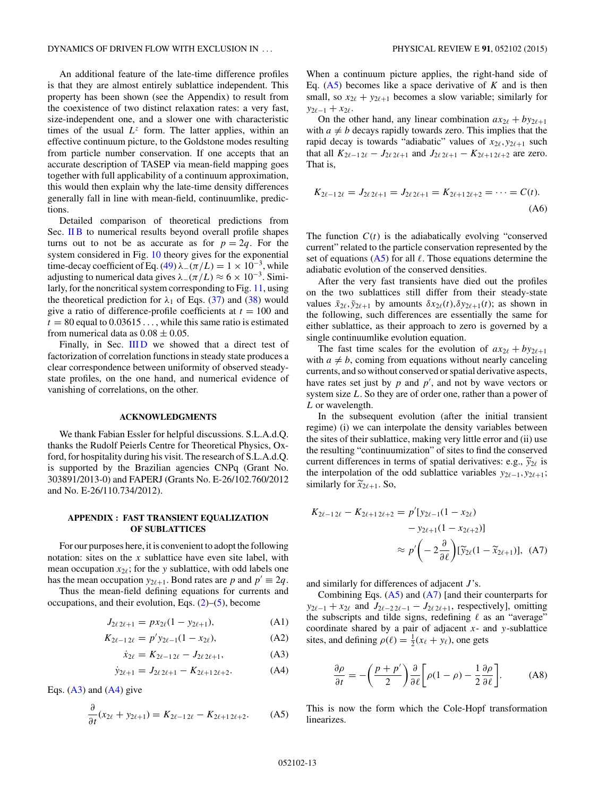An additional feature of the late-time difference profiles is that they are almost entirely sublattice independent. This property has been shown (see the Appendix) to result from the coexistence of two distinct relaxation rates: a very fast, size-independent one, and a slower one with characteristic times of the usual  $L^z$  form. The latter applies, within an effective continuum picture, to the Goldstone modes resulting from particle number conservation. If one accepts that an accurate description of TASEP via mean-field mapping goes together with full applicability of a continuum approximation, this would then explain why the late-time density differences generally fall in line with mean-field, continuumlike, predictions.

Detailed comparison of theoretical predictions from Sec. [II B](#page-3-0) to numerical results beyond overall profile shapes turns out to not be as accurate as for  $p = 2q$ . For the system considered in Fig. [10](#page-9-0) theory gives for the exponential time-decay coefficient of Eq. [\(49\)](#page-5-0)  $\lambda$ <sub>−</sub>( $\pi/L$ ) = 1 × 10<sup>-3</sup>, while adjusting to numerical data gives  $\lambda_-(\pi/L) \approx 6 \times 10^{-3}$ . Similarly, for the noncritical system corresponding to Fig. [11,](#page-10-0) using the theoretical prediction for  $\lambda_1$  of Eqs. [\(37\)](#page-4-0) and [\(38\)](#page-4-0) would give a ratio of difference-profile coefficients at  $t = 100$  and  $t = 80$  equal to  $0.03615...$ , while this same ratio is estimated from numerical data as  $0.08 \pm 0.05$ .

Finally, in Sec. IIID we showed that a direct test of factorization of correlation functions in steady state produces a clear correspondence between uniformity of observed steadystate profiles, on the one hand, and numerical evidence of vanishing of correlations, on the other.

#### **ACKNOWLEDGMENTS**

We thank Fabian Essler for helpful discussions. S.L.A.d.Q. thanks the Rudolf Peierls Centre for Theoretical Physics, Oxford, for hospitality during his visit. The research of S.L.A.d.Q. is supported by the Brazilian agencies CNPq (Grant No. 303891/2013-0) and FAPERJ (Grants No. E-26/102.760/2012 and No. E-26/110.734/2012).

### **APPENDIX : FAST TRANSIENT EQUALIZATION OF SUBLATTICES**

For our purposes here, it is convenient to adopt the following notation: sites on the *x* sublattice have even site label, with mean occupation  $x_{2\ell}$ ; for the *y* sublattice, with odd labels one has the mean occupation  $y_{2\ell+1}$ . Bond rates are p and  $p' \equiv 2q$ .

Thus the mean-field defining equations for currents and occupations, and their evolution, Eqs.  $(2)$ – $(5)$ , become

$$
J_{2\ell\,2\ell+1} = px_{2\ell}(1 - y_{2\ell+1}),\tag{A1}
$$

$$
K_{2\ell-1\,2\ell} = p' y_{2\ell-1} (1 - x_{2\ell}), \tag{A2}
$$

$$
\dot{x}_{2\ell} = K_{2\ell - 12\ell} - J_{2\ell \, 2\ell + 1},\tag{A3}
$$

$$
\dot{y}_{2\ell+1} = J_{2\ell \, 2\ell+1} - K_{2\ell+1 \, 2\ell+2}.\tag{A4}
$$

Eqs.  $(A3)$  and  $(A4)$  give

$$
\frac{\partial}{\partial t}(x_{2\ell} + y_{2\ell+1}) = K_{2\ell-1\,2\ell} - K_{2\ell+1\,2\ell+2}.\tag{A5}
$$

When a continuum picture applies, the right-hand side of Eq.  $(A5)$  becomes like a space derivative of  $K$  and is then small, so  $x_{2\ell} + y_{2\ell+1}$  becomes a slow variable; similarly for  $y_{2\ell-1} + x_{2\ell}$ .

On the other hand, any linear combination  $ax_{2\ell} + by_{2\ell+1}$ with  $a \neq b$  decays rapidly towards zero. This implies that the rapid decay is towards "adiabatic" values of  $x_{2\ell}, y_{2\ell+1}$  such that all  $K_{2\ell-1,2\ell} - J_{2\ell,2\ell+1}$  and  $J_{2\ell,2\ell+1} - K_{2\ell+1,2\ell+2}$  are zero. That is,

$$
K_{2\ell-12\ell} = J_{2\ell 2\ell+1} = J_{2\ell 2\ell+1} = K_{2\ell+1 2\ell+2} = \cdots = C(t).
$$
\n(A6)

The function  $C(t)$  is the adiabatically evolving "conserved" current" related to the particle conservation represented by the set of equations  $(A5)$  for all  $\ell$ . Those equations determine the adiabatic evolution of the conserved densities.

After the very fast transients have died out the profiles on the two sublattices still differ from their steady-state values  $\bar{x}_{2\ell}$ ,  $\bar{y}_{2\ell+1}$  by amounts  $\delta x_{2\ell}(t)$ ,  $\delta y_{2\ell+1}(t)$ ; as shown in the following, such differences are essentially the same for either sublattice, as their approach to zero is governed by a single continuumlike evolution equation.

The fast time scales for the evolution of  $ax_{2\ell} + by_{2\ell+1}$ with  $a \neq b$ , coming from equations without nearly canceling currents, and so without conserved or spatial derivative aspects, have rates set just by  $p$  and  $p'$ , and not by wave vectors or system size *L*. So they are of order one, rather than a power of *L* or wavelength.

In the subsequent evolution (after the initial transient regime) (i) we can interpolate the density variables between the sites of their sublattice, making very little error and (ii) use the resulting "continuumization" of sites to find the conserved current differences in terms of spatial derivatives: e.g.,  $\tilde{y}_{2\ell}$  is the interpolation of the odd sublattice variables  $y_{2\ell-1}, y_{2\ell+1}$ ; similarly for  $\widetilde{x}_{2\ell+1}$ . So,

$$
K_{2\ell-12\ell} - K_{2\ell+12\ell+2} = p'[y_{2\ell-1}(1 - x_{2\ell}) - y_{2\ell+1}(1 - x_{2\ell+2})]
$$

$$
\approx p' \left( -2 \frac{\partial}{\partial \ell} \right) [\widetilde{y}_{2\ell}(1 - \widetilde{x}_{2\ell+1})], \quad (A7)
$$

and similarly for differences of adjacent *J* 's.

Combining Eqs.  $(A5)$  and  $(A7)$  [and their counterparts for *y*<sub>2 $\ell-1$ </sub> + *x*<sub>2 $\ell$ </sub> and *J*<sub>2 $\ell-2$ 2 $\ell-1$  – *J*<sub>2 $\ell$ 2 $\ell+1$ , respectively], omitting</sub></sub> the subscripts and tilde signs, redefining  $\ell$  as an "average" coordinate shared by a pair of adjacent *x*- and *y*-sublattice sites, and defining  $\rho(\ell) = \frac{1}{2}(x_{\ell} + y_{\ell})$ , one gets

$$
\frac{\partial \rho}{\partial t} = -\left(\frac{p+p'}{2}\right) \frac{\partial}{\partial \ell} \left[\rho(1-\rho) - \frac{1}{2} \frac{\partial \rho}{\partial \ell}\right].
$$
 (A8)

This is now the form which the Cole-Hopf transformation linearizes.